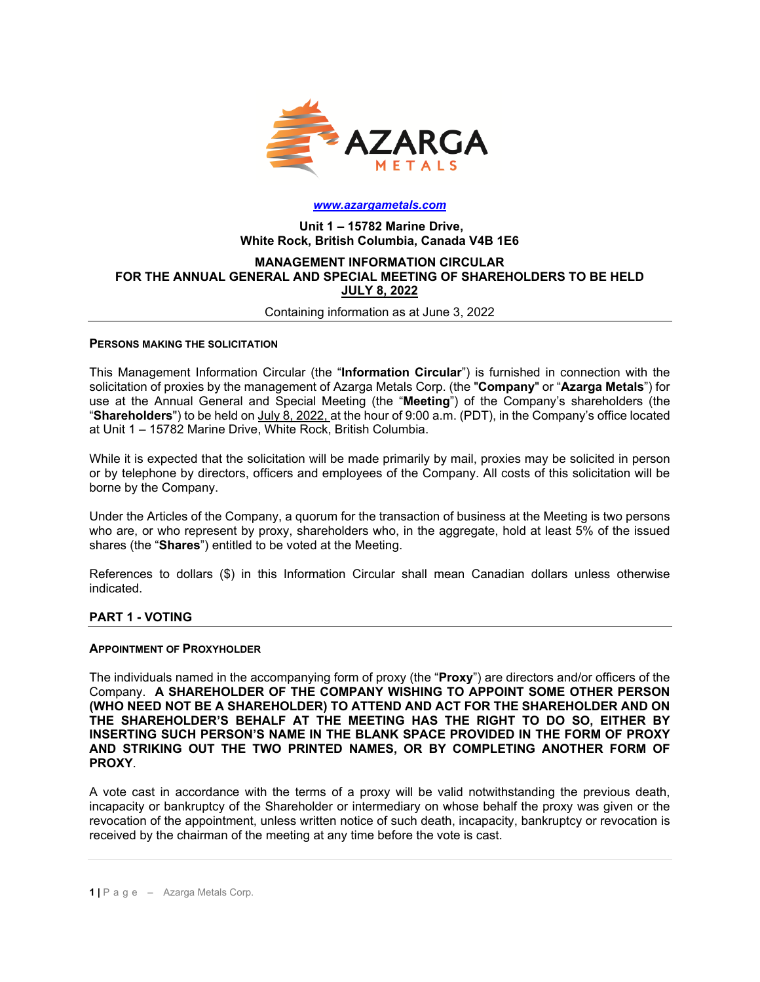

#### *[www.azargametals.com](http://www.azargametals.com/)*

### **Unit 1 – 15782 Marine Drive, White Rock, British Columbia, Canada V4B 1E6**

#### **MANAGEMENT INFORMATION CIRCULAR FOR THE ANNUAL GENERAL AND SPECIAL MEETING OF SHAREHOLDERS TO BE HELD JULY 8, 2022**

Containing information as at June 3, 2022

#### **PERSONS MAKING THE SOLICITATION**

This Management Information Circular (the "**Information Circular**") is furnished in connection with the solicitation of proxies by the management of Azarga Metals Corp. (the "**Company**" or "**Azarga Metals**") for use at the Annual General and Special Meeting (the "**Meeting**") of the Company's shareholders (the "**Shareholders**") to be held on July 8, 2022, at the hour of 9:00 a.m. (PDT), in the Company's office located at Unit 1 – 15782 Marine Drive, White Rock, British Columbia.

While it is expected that the solicitation will be made primarily by mail, proxies may be solicited in person or by telephone by directors, officers and employees of the Company. All costs of this solicitation will be borne by the Company.

Under the Articles of the Company, a quorum for the transaction of business at the Meeting is two persons who are, or who represent by proxy, shareholders who, in the aggregate, hold at least 5% of the issued shares (the "**Shares**") entitled to be voted at the Meeting.

References to dollars (\$) in this Information Circular shall mean Canadian dollars unless otherwise indicated.

#### **PART 1 - VOTING**

#### **APPOINTMENT OF PROXYHOLDER**

The individuals named in the accompanying form of proxy (the "**Proxy**") are directors and/or officers of the Company. **A SHAREHOLDER OF THE COMPANY WISHING TO APPOINT SOME OTHER PERSON (WHO NEED NOT BE A SHAREHOLDER) TO ATTEND AND ACT FOR THE SHAREHOLDER AND ON THE SHAREHOLDER'S BEHALF AT THE MEETING HAS THE RIGHT TO DO SO, EITHER BY INSERTING SUCH PERSON'S NAME IN THE BLANK SPACE PROVIDED IN THE FORM OF PROXY AND STRIKING OUT THE TWO PRINTED NAMES, OR BY COMPLETING ANOTHER FORM OF PROXY**.

A vote cast in accordance with the terms of a proxy will be valid notwithstanding the previous death, incapacity or bankruptcy of the Shareholder or intermediary on whose behalf the proxy was given or the revocation of the appointment, unless written notice of such death, incapacity, bankruptcy or revocation is received by the chairman of the meeting at any time before the vote is cast.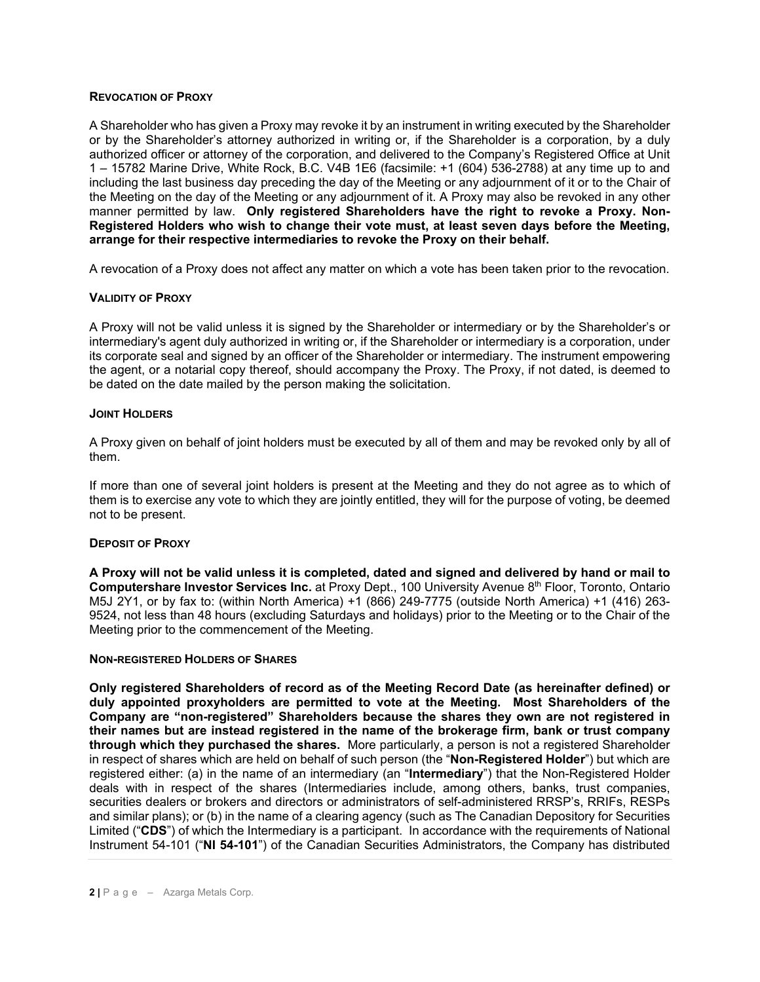#### **REVOCATION OF PROXY**

A Shareholder who has given a Proxy may revoke it by an instrument in writing executed by the Shareholder or by the Shareholder's attorney authorized in writing or, if the Shareholder is a corporation, by a duly authorized officer or attorney of the corporation, and delivered to the Company's Registered Office at Unit 1 – 15782 Marine Drive, White Rock, B.C. V4B 1E6 (facsimile: +1 (604) 536-2788) at any time up to and including the last business day preceding the day of the Meeting or any adjournment of it or to the Chair of the Meeting on the day of the Meeting or any adjournment of it. A Proxy may also be revoked in any other manner permitted by law. **Only registered Shareholders have the right to revoke a Proxy. Non-Registered Holders who wish to change their vote must, at least seven days before the Meeting, arrange for their respective intermediaries to revoke the Proxy on their behalf.** 

A revocation of a Proxy does not affect any matter on which a vote has been taken prior to the revocation.

### **VALIDITY OF PROXY**

A Proxy will not be valid unless it is signed by the Shareholder or intermediary or by the Shareholder's or intermediary's agent duly authorized in writing or, if the Shareholder or intermediary is a corporation, under its corporate seal and signed by an officer of the Shareholder or intermediary. The instrument empowering the agent, or a notarial copy thereof, should accompany the Proxy. The Proxy, if not dated, is deemed to be dated on the date mailed by the person making the solicitation.

#### **JOINT HOLDERS**

A Proxy given on behalf of joint holders must be executed by all of them and may be revoked only by all of them.

If more than one of several joint holders is present at the Meeting and they do not agree as to which of them is to exercise any vote to which they are jointly entitled, they will for the purpose of voting, be deemed not to be present.

### **DEPOSIT OF PROXY**

**A Proxy will not be valid unless it is completed, dated and signed and delivered by hand or mail to Computershare Investor Services Inc.** at Proxy Dept., 100 University Avenue 8th Floor, Toronto, Ontario M5J 2Y1, or by fax to: (within North America) +1 (866) 249-7775 (outside North America) +1 (416) 263- 9524, not less than 48 hours (excluding Saturdays and holidays) prior to the Meeting or to the Chair of the Meeting prior to the commencement of the Meeting.

#### **NON-REGISTERED HOLDERS OF SHARES**

**Only registered Shareholders of record as of the Meeting Record Date (as hereinafter defined) or duly appointed proxyholders are permitted to vote at the Meeting. Most Shareholders of the Company are "non-registered" Shareholders because the shares they own are not registered in their names but are instead registered in the name of the brokerage firm, bank or trust company through which they purchased the shares.** More particularly, a person is not a registered Shareholder in respect of shares which are held on behalf of such person (the "**Non-Registered Holder**") but which are registered either: (a) in the name of an intermediary (an "**Intermediary**") that the Non-Registered Holder deals with in respect of the shares (Intermediaries include, among others, banks, trust companies, securities dealers or brokers and directors or administrators of self-administered RRSP's, RRIFs, RESPs and similar plans); or (b) in the name of a clearing agency (such as The Canadian Depository for Securities Limited ("**CDS**") of which the Intermediary is a participant. In accordance with the requirements of National Instrument 54-101 ("**NI 54-101**") of the Canadian Securities Administrators, the Company has distributed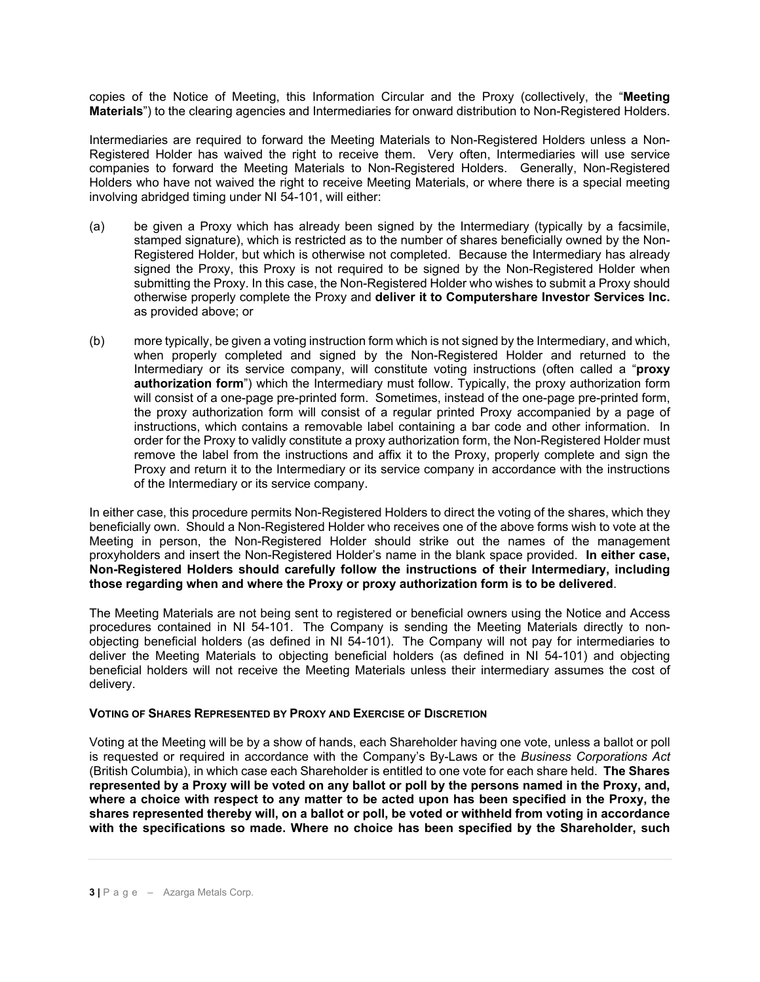copies of the Notice of Meeting, this Information Circular and the Proxy (collectively, the "**Meeting Materials**") to the clearing agencies and Intermediaries for onward distribution to Non-Registered Holders.

Intermediaries are required to forward the Meeting Materials to Non-Registered Holders unless a Non-Registered Holder has waived the right to receive them. Very often, Intermediaries will use service companies to forward the Meeting Materials to Non-Registered Holders. Generally, Non-Registered Holders who have not waived the right to receive Meeting Materials, or where there is a special meeting involving abridged timing under NI 54-101, will either:

- (a) be given a Proxy which has already been signed by the Intermediary (typically by a facsimile, stamped signature), which is restricted as to the number of shares beneficially owned by the Non-Registered Holder, but which is otherwise not completed. Because the Intermediary has already signed the Proxy, this Proxy is not required to be signed by the Non-Registered Holder when submitting the Proxy. In this case, the Non-Registered Holder who wishes to submit a Proxy should otherwise properly complete the Proxy and **deliver it to Computershare Investor Services Inc.** as provided above; or
- (b) more typically, be given a voting instruction form which is not signed by the Intermediary, and which, when properly completed and signed by the Non-Registered Holder and returned to the Intermediary or its service company, will constitute voting instructions (often called a "**proxy authorization form**") which the Intermediary must follow. Typically, the proxy authorization form will consist of a one-page pre-printed form. Sometimes, instead of the one-page pre-printed form, the proxy authorization form will consist of a regular printed Proxy accompanied by a page of instructions, which contains a removable label containing a bar code and other information. In order for the Proxy to validly constitute a proxy authorization form, the Non-Registered Holder must remove the label from the instructions and affix it to the Proxy, properly complete and sign the Proxy and return it to the Intermediary or its service company in accordance with the instructions of the Intermediary or its service company.

In either case, this procedure permits Non-Registered Holders to direct the voting of the shares, which they beneficially own. Should a Non-Registered Holder who receives one of the above forms wish to vote at the Meeting in person, the Non-Registered Holder should strike out the names of the management proxyholders and insert the Non-Registered Holder's name in the blank space provided. **In either case, Non-Registered Holders should carefully follow the instructions of their Intermediary, including those regarding when and where the Proxy or proxy authorization form is to be delivered**.

The Meeting Materials are not being sent to registered or beneficial owners using the Notice and Access procedures contained in NI 54-101. The Company is sending the Meeting Materials directly to nonobjecting beneficial holders (as defined in NI 54-101). The Company will not pay for intermediaries to deliver the Meeting Materials to objecting beneficial holders (as defined in NI 54-101) and objecting beneficial holders will not receive the Meeting Materials unless their intermediary assumes the cost of delivery.

#### **VOTING OF SHARES REPRESENTED BY PROXY AND EXERCISE OF DISCRETION**

Voting at the Meeting will be by a show of hands, each Shareholder having one vote, unless a ballot or poll is requested or required in accordance with the Company's By-Laws or the *Business Corporations Act*  (British Columbia), in which case each Shareholder is entitled to one vote for each share held. **The Shares represented by a Proxy will be voted on any ballot or poll by the persons named in the Proxy, and, where a choice with respect to any matter to be acted upon has been specified in the Proxy, the shares represented thereby will, on a ballot or poll, be voted or withheld from voting in accordance with the specifications so made. Where no choice has been specified by the Shareholder, such**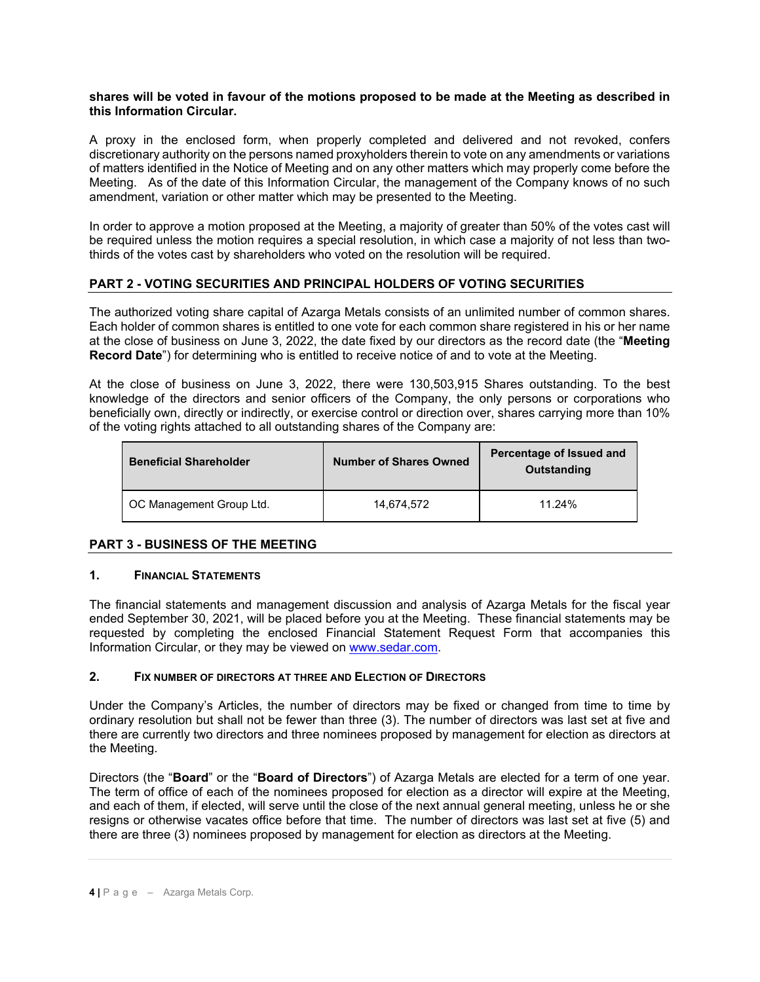### **shares will be voted in favour of the motions proposed to be made at the Meeting as described in this Information Circular.**

A proxy in the enclosed form, when properly completed and delivered and not revoked, confers discretionary authority on the persons named proxyholders therein to vote on any amendments or variations of matters identified in the Notice of Meeting and on any other matters which may properly come before the Meeting. As of the date of this Information Circular, the management of the Company knows of no such amendment, variation or other matter which may be presented to the Meeting.

In order to approve a motion proposed at the Meeting, a majority of greater than 50% of the votes cast will be required unless the motion requires a special resolution, in which case a majority of not less than twothirds of the votes cast by shareholders who voted on the resolution will be required.

# **PART 2 - VOTING SECURITIES AND PRINCIPAL HOLDERS OF VOTING SECURITIES**

The authorized voting share capital of Azarga Metals consists of an unlimited number of common shares. Each holder of common shares is entitled to one vote for each common share registered in his or her name at the close of business on June 3, 2022, the date fixed by our directors as the record date (the "**Meeting Record Date**") for determining who is entitled to receive notice of and to vote at the Meeting.

At the close of business on June 3, 2022, there were 130,503,915 Shares outstanding. To the best knowledge of the directors and senior officers of the Company, the only persons or corporations who beneficially own, directly or indirectly, or exercise control or direction over, shares carrying more than 10% of the voting rights attached to all outstanding shares of the Company are:

| <b>Beneficial Shareholder</b> | <b>Number of Shares Owned</b> | Percentage of Issued and<br>Outstanding |
|-------------------------------|-------------------------------|-----------------------------------------|
| OC Management Group Ltd.      | 14.674.572                    | 11.24%                                  |

### **PART 3 - BUSINESS OF THE MEETING**

### **1. FINANCIAL STATEMENTS**

The financial statements and management discussion and analysis of Azarga Metals for the fiscal year ended September 30, 2021, will be placed before you at the Meeting. These financial statements may be requested by completing the enclosed Financial Statement Request Form that accompanies this Information Circular, or they may be viewed on [www.sedar.com.](http://www.sedar.com/)

# **2. FIX NUMBER OF DIRECTORS AT THREE AND ELECTION OF DIRECTORS**

Under the Company's Articles, the number of directors may be fixed or changed from time to time by ordinary resolution but shall not be fewer than three (3). The number of directors was last set at five and there are currently two directors and three nominees proposed by management for election as directors at the Meeting.

Directors (the "**Board**" or the "**Board of Directors**") of Azarga Metals are elected for a term of one year. The term of office of each of the nominees proposed for election as a director will expire at the Meeting, and each of them, if elected, will serve until the close of the next annual general meeting, unless he or she resigns or otherwise vacates office before that time. The number of directors was last set at five (5) and there are three (3) nominees proposed by management for election as directors at the Meeting.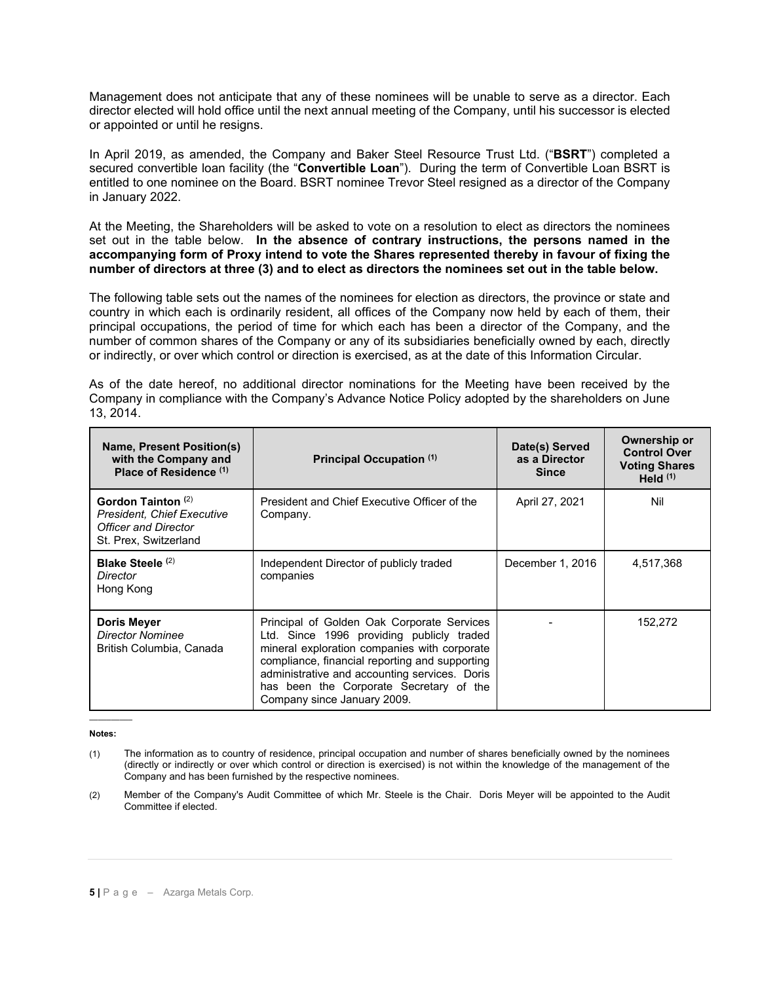Management does not anticipate that any of these nominees will be unable to serve as a director. Each director elected will hold office until the next annual meeting of the Company, until his successor is elected or appointed or until he resigns.

In April 2019, as amended, the Company and Baker Steel Resource Trust Ltd. ("**BSRT**") completed a secured convertible loan facility (the "**Convertible Loan**"). During the term of Convertible Loan BSRT is entitled to one nominee on the Board. BSRT nominee Trevor Steel resigned as a director of the Company in January 2022.

At the Meeting, the Shareholders will be asked to vote on a resolution to elect as directors the nominees set out in the table below. **In the absence of contrary instructions, the persons named in the accompanying form of Proxy intend to vote the Shares represented thereby in favour of fixing the number of directors at three (3) and to elect as directors the nominees set out in the table below.**

The following table sets out the names of the nominees for election as directors, the province or state and country in which each is ordinarily resident, all offices of the Company now held by each of them, their principal occupations, the period of time for which each has been a director of the Company, and the number of common shares of the Company or any of its subsidiaries beneficially owned by each, directly or indirectly, or over which control or direction is exercised, as at the date of this Information Circular.

As of the date hereof, no additional director nominations for the Meeting have been received by the Company in compliance with the Company's Advance Notice Policy adopted by the shareholders on June 13, 2014.

| Name, Present Position(s)<br>with the Company and<br>Place of Residence <sup>(1)</sup>                                     | Principal Occupation (1)                                                                                                                                                                                                                                                                                             | Date(s) Served<br>as a Director<br><b>Since</b> | Ownership or<br><b>Control Over</b><br><b>Voting Shares</b><br>Held $(1)$ |
|----------------------------------------------------------------------------------------------------------------------------|----------------------------------------------------------------------------------------------------------------------------------------------------------------------------------------------------------------------------------------------------------------------------------------------------------------------|-------------------------------------------------|---------------------------------------------------------------------------|
| Gordon Tainton <sup>(2)</sup><br><b>President, Chief Executive</b><br><b>Officer and Director</b><br>St. Prex, Switzerland | President and Chief Executive Officer of the<br>Company.                                                                                                                                                                                                                                                             | April 27, 2021                                  | Nil                                                                       |
| Blake Steele <sup>(2)</sup><br>Director<br>Hong Kong                                                                       | Independent Director of publicly traded<br>companies                                                                                                                                                                                                                                                                 | December 1, 2016                                | 4,517,368                                                                 |
| <b>Doris Meyer</b><br><b>Director Nominee</b><br>British Columbia, Canada                                                  | Principal of Golden Oak Corporate Services<br>Ltd. Since 1996 providing publicly traded<br>mineral exploration companies with corporate<br>compliance, financial reporting and supporting<br>administrative and accounting services. Doris<br>has been the Corporate Secretary of the<br>Company since January 2009. |                                                 | 152,272                                                                   |

 $\overline{\phantom{a}}$ **Notes:**

- (1) The information as to country of residence, principal occupation and number of shares beneficially owned by the nominees (directly or indirectly or over which control or direction is exercised) is not within the knowledge of the management of the Company and has been furnished by the respective nominees.
- (2) Member of the Company's Audit Committee of which Mr. Steele is the Chair. Doris Meyer will be appointed to the Audit Committee if elected.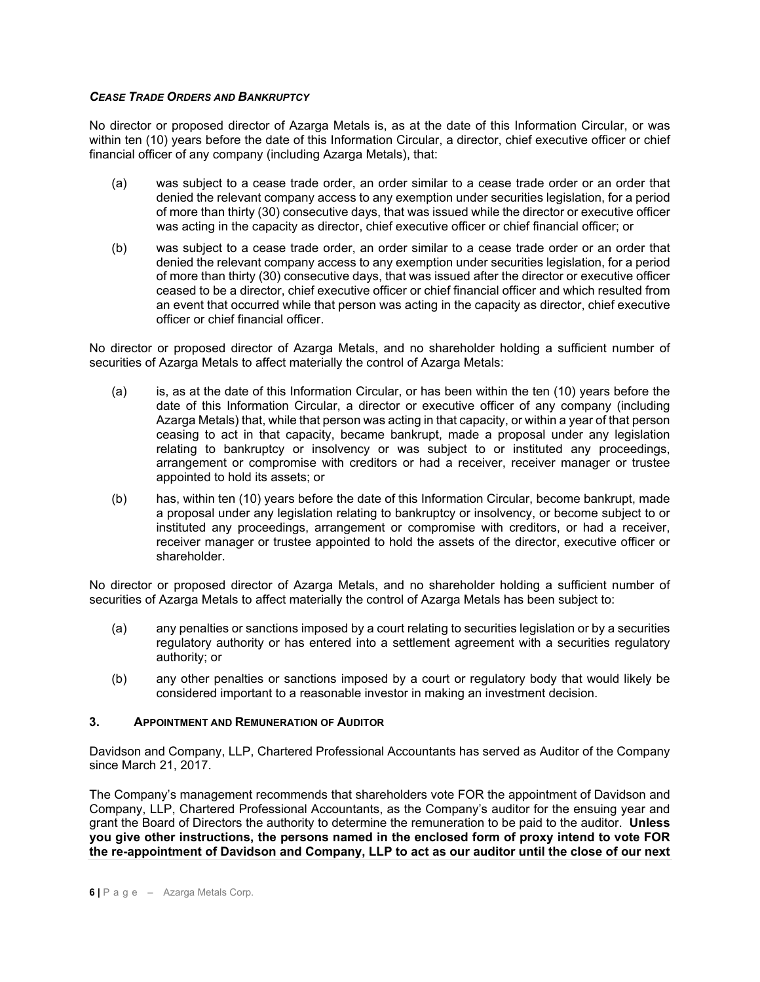### *CEASE TRADE ORDERS AND BANKRUPTCY*

No director or proposed director of Azarga Metals is, as at the date of this Information Circular, or was within ten (10) years before the date of this Information Circular, a director, chief executive officer or chief financial officer of any company (including Azarga Metals), that:

- (a) was subject to a cease trade order, an order similar to a cease trade order or an order that denied the relevant company access to any exemption under securities legislation, for a period of more than thirty (30) consecutive days, that was issued while the director or executive officer was acting in the capacity as director, chief executive officer or chief financial officer; or
- (b) was subject to a cease trade order, an order similar to a cease trade order or an order that denied the relevant company access to any exemption under securities legislation, for a period of more than thirty (30) consecutive days, that was issued after the director or executive officer ceased to be a director, chief executive officer or chief financial officer and which resulted from an event that occurred while that person was acting in the capacity as director, chief executive officer or chief financial officer.

No director or proposed director of Azarga Metals, and no shareholder holding a sufficient number of securities of Azarga Metals to affect materially the control of Azarga Metals:

- (a) is, as at the date of this Information Circular, or has been within the ten (10) years before the date of this Information Circular, a director or executive officer of any company (including Azarga Metals) that, while that person was acting in that capacity, or within a year of that person ceasing to act in that capacity, became bankrupt, made a proposal under any legislation relating to bankruptcy or insolvency or was subject to or instituted any proceedings, arrangement or compromise with creditors or had a receiver, receiver manager or trustee appointed to hold its assets; or
- (b) has, within ten (10) years before the date of this Information Circular, become bankrupt, made a proposal under any legislation relating to bankruptcy or insolvency, or become subject to or instituted any proceedings, arrangement or compromise with creditors, or had a receiver, receiver manager or trustee appointed to hold the assets of the director, executive officer or shareholder.

No director or proposed director of Azarga Metals, and no shareholder holding a sufficient number of securities of Azarga Metals to affect materially the control of Azarga Metals has been subject to:

- (a) any penalties or sanctions imposed by a court relating to securities legislation or by a securities regulatory authority or has entered into a settlement agreement with a securities regulatory authority; or
- (b) any other penalties or sanctions imposed by a court or regulatory body that would likely be considered important to a reasonable investor in making an investment decision.

### **3. APPOINTMENT AND REMUNERATION OF AUDITOR**

Davidson and Company, LLP, Chartered Professional Accountants has served as Auditor of the Company since March 21, 2017.

The Company's management recommends that shareholders vote FOR the appointment of Davidson and Company, LLP, Chartered Professional Accountants, as the Company's auditor for the ensuing year and grant the Board of Directors the authority to determine the remuneration to be paid to the auditor. **Unless you give other instructions, the persons named in the enclosed form of proxy intend to vote FOR the re-appointment of Davidson and Company, LLP to act as our auditor until the close of our next**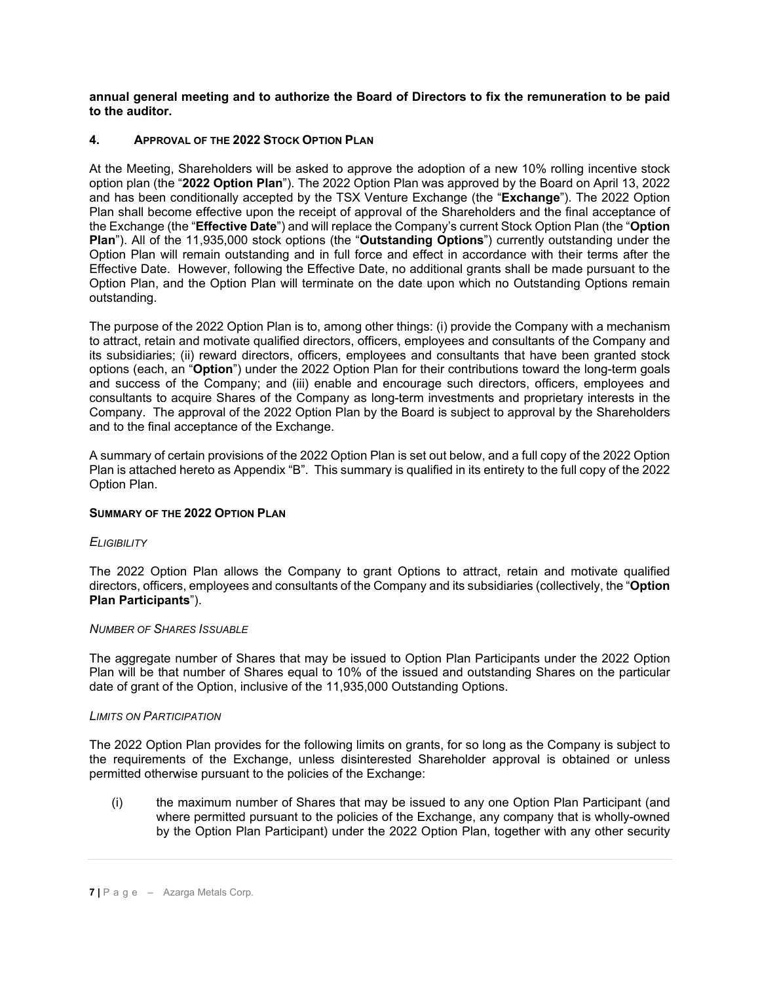**annual general meeting and to authorize the Board of Directors to fix the remuneration to be paid to the auditor.**

### **4. APPROVAL OF THE 2022 STOCK OPTION PLAN**

At the Meeting, Shareholders will be asked to approve the adoption of a new 10% rolling incentive stock option plan (the "**2022 Option Plan**"). The 2022 Option Plan was approved by the Board on April 13, 2022 and has been conditionally accepted by the TSX Venture Exchange (the "**Exchange**"). The 2022 Option Plan shall become effective upon the receipt of approval of the Shareholders and the final acceptance of the Exchange (the "**Effective Date**") and will replace the Company's current Stock Option Plan (the "**Option Plan**"). All of the 11,935,000 stock options (the "**Outstanding Options**") currently outstanding under the Option Plan will remain outstanding and in full force and effect in accordance with their terms after the Effective Date. However, following the Effective Date, no additional grants shall be made pursuant to the Option Plan, and the Option Plan will terminate on the date upon which no Outstanding Options remain outstanding.

The purpose of the 2022 Option Plan is to, among other things: (i) provide the Company with a mechanism to attract, retain and motivate qualified directors, officers, employees and consultants of the Company and its subsidiaries; (ii) reward directors, officers, employees and consultants that have been granted stock options (each, an "**Option**") under the 2022 Option Plan for their contributions toward the long-term goals and success of the Company; and (iii) enable and encourage such directors, officers, employees and consultants to acquire Shares of the Company as long-term investments and proprietary interests in the Company. The approval of the 2022 Option Plan by the Board is subject to approval by the Shareholders and to the final acceptance of the Exchange.

A summary of certain provisions of the 2022 Option Plan is set out below, and a full copy of the 2022 Option Plan is attached hereto as Appendix "B". This summary is qualified in its entirety to the full copy of the 2022 Option Plan.

### **SUMMARY OF THE 2022 OPTION PLAN**

### *ELIGIBILITY*

The 2022 Option Plan allows the Company to grant Options to attract, retain and motivate qualified directors, officers, employees and consultants of the Company and its subsidiaries (collectively, the "**Option Plan Participants**").

#### *NUMBER OF SHARES ISSUABLE*

The aggregate number of Shares that may be issued to Option Plan Participants under the 2022 Option Plan will be that number of Shares equal to 10% of the issued and outstanding Shares on the particular date of grant of the Option, inclusive of the 11,935,000 Outstanding Options.

#### *LIMITS ON PARTICIPATION*

The 2022 Option Plan provides for the following limits on grants, for so long as the Company is subject to the requirements of the Exchange, unless disinterested Shareholder approval is obtained or unless permitted otherwise pursuant to the policies of the Exchange:

(i) the maximum number of Shares that may be issued to any one Option Plan Participant (and where permitted pursuant to the policies of the Exchange, any company that is wholly-owned by the Option Plan Participant) under the 2022 Option Plan, together with any other security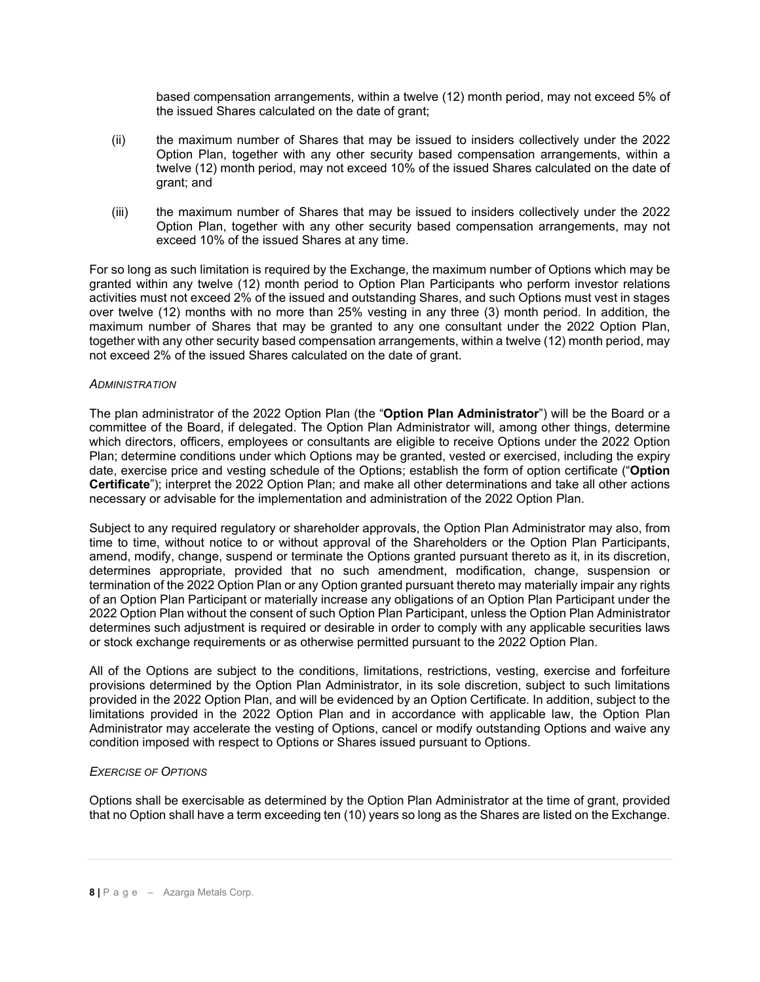based compensation arrangements, within a twelve (12) month period, may not exceed 5% of the issued Shares calculated on the date of grant;

- (ii) the maximum number of Shares that may be issued to insiders collectively under the 2022 Option Plan, together with any other security based compensation arrangements, within a twelve (12) month period, may not exceed 10% of the issued Shares calculated on the date of grant; and
- (iii) the maximum number of Shares that may be issued to insiders collectively under the 2022 Option Plan, together with any other security based compensation arrangements, may not exceed 10% of the issued Shares at any time.

For so long as such limitation is required by the Exchange, the maximum number of Options which may be granted within any twelve (12) month period to Option Plan Participants who perform investor relations activities must not exceed 2% of the issued and outstanding Shares, and such Options must vest in stages over twelve (12) months with no more than 25% vesting in any three (3) month period. In addition, the maximum number of Shares that may be granted to any one consultant under the 2022 Option Plan, together with any other security based compensation arrangements, within a twelve (12) month period, may not exceed 2% of the issued Shares calculated on the date of grant.

#### *ADMINISTRATION*

The plan administrator of the 2022 Option Plan (the "**Option Plan Administrator**") will be the Board or a committee of the Board, if delegated. The Option Plan Administrator will, among other things, determine which directors, officers, employees or consultants are eligible to receive Options under the 2022 Option Plan; determine conditions under which Options may be granted, vested or exercised, including the expiry date, exercise price and vesting schedule of the Options; establish the form of option certificate ("**Option Certificate**"); interpret the 2022 Option Plan; and make all other determinations and take all other actions necessary or advisable for the implementation and administration of the 2022 Option Plan.

Subject to any required regulatory or shareholder approvals, the Option Plan Administrator may also, from time to time, without notice to or without approval of the Shareholders or the Option Plan Participants, amend, modify, change, suspend or terminate the Options granted pursuant thereto as it, in its discretion, determines appropriate, provided that no such amendment, modification, change, suspension or termination of the 2022 Option Plan or any Option granted pursuant thereto may materially impair any rights of an Option Plan Participant or materially increase any obligations of an Option Plan Participant under the 2022 Option Plan without the consent of such Option Plan Participant, unless the Option Plan Administrator determines such adjustment is required or desirable in order to comply with any applicable securities laws or stock exchange requirements or as otherwise permitted pursuant to the 2022 Option Plan.

All of the Options are subject to the conditions, limitations, restrictions, vesting, exercise and forfeiture provisions determined by the Option Plan Administrator, in its sole discretion, subject to such limitations provided in the 2022 Option Plan, and will be evidenced by an Option Certificate. In addition, subject to the limitations provided in the 2022 Option Plan and in accordance with applicable law, the Option Plan Administrator may accelerate the vesting of Options, cancel or modify outstanding Options and waive any condition imposed with respect to Options or Shares issued pursuant to Options.

### *EXERCISE OF OPTIONS*

Options shall be exercisable as determined by the Option Plan Administrator at the time of grant, provided that no Option shall have a term exceeding ten (10) years so long as the Shares are listed on the Exchange.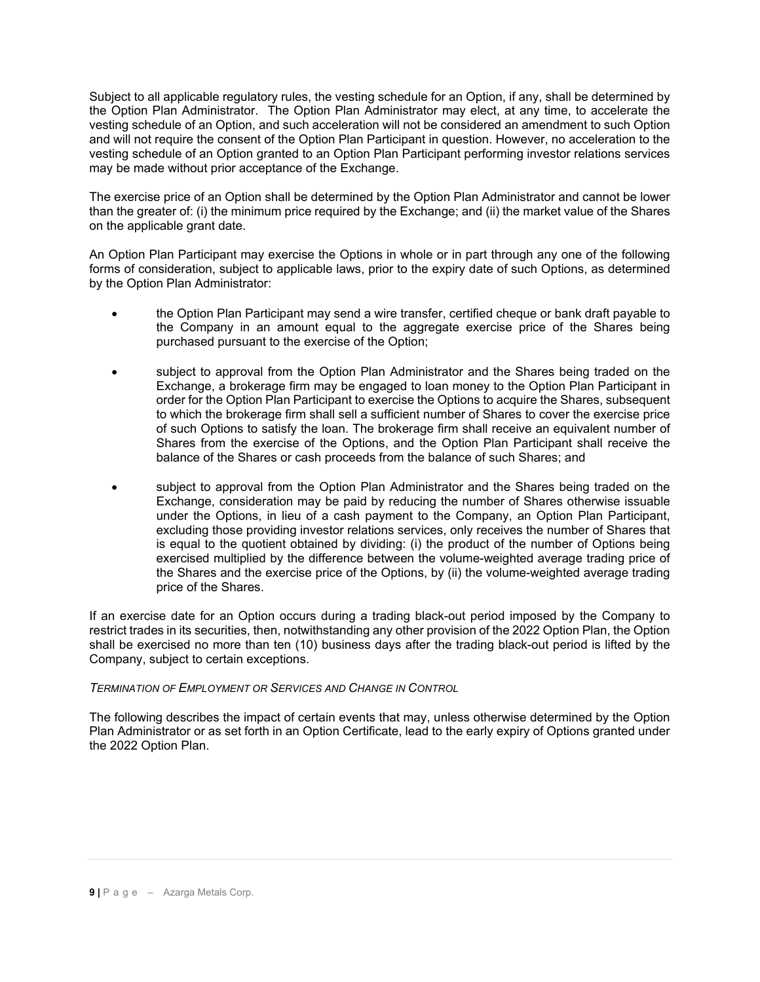Subject to all applicable regulatory rules, the vesting schedule for an Option, if any, shall be determined by the Option Plan Administrator. The Option Plan Administrator may elect, at any time, to accelerate the vesting schedule of an Option, and such acceleration will not be considered an amendment to such Option and will not require the consent of the Option Plan Participant in question. However, no acceleration to the vesting schedule of an Option granted to an Option Plan Participant performing investor relations services may be made without prior acceptance of the Exchange.

The exercise price of an Option shall be determined by the Option Plan Administrator and cannot be lower than the greater of: (i) the minimum price required by the Exchange; and (ii) the market value of the Shares on the applicable grant date.

An Option Plan Participant may exercise the Options in whole or in part through any one of the following forms of consideration, subject to applicable laws, prior to the expiry date of such Options, as determined by the Option Plan Administrator:

- the Option Plan Participant may send a wire transfer, certified cheque or bank draft payable to the Company in an amount equal to the aggregate exercise price of the Shares being purchased pursuant to the exercise of the Option;
- subject to approval from the Option Plan Administrator and the Shares being traded on the Exchange, a brokerage firm may be engaged to loan money to the Option Plan Participant in order for the Option Plan Participant to exercise the Options to acquire the Shares, subsequent to which the brokerage firm shall sell a sufficient number of Shares to cover the exercise price of such Options to satisfy the loan. The brokerage firm shall receive an equivalent number of Shares from the exercise of the Options, and the Option Plan Participant shall receive the balance of the Shares or cash proceeds from the balance of such Shares; and
- subject to approval from the Option Plan Administrator and the Shares being traded on the Exchange, consideration may be paid by reducing the number of Shares otherwise issuable under the Options, in lieu of a cash payment to the Company, an Option Plan Participant, excluding those providing investor relations services, only receives the number of Shares that is equal to the quotient obtained by dividing: (i) the product of the number of Options being exercised multiplied by the difference between the volume-weighted average trading price of the Shares and the exercise price of the Options, by (ii) the volume-weighted average trading price of the Shares.

If an exercise date for an Option occurs during a trading black-out period imposed by the Company to restrict trades in its securities, then, notwithstanding any other provision of the 2022 Option Plan, the Option shall be exercised no more than ten (10) business days after the trading black-out period is lifted by the Company, subject to certain exceptions.

# *TERMINATION OF EMPLOYMENT OR SERVICES AND CHANGE IN CONTROL*

The following describes the impact of certain events that may, unless otherwise determined by the Option Plan Administrator or as set forth in an Option Certificate, lead to the early expiry of Options granted under the 2022 Option Plan.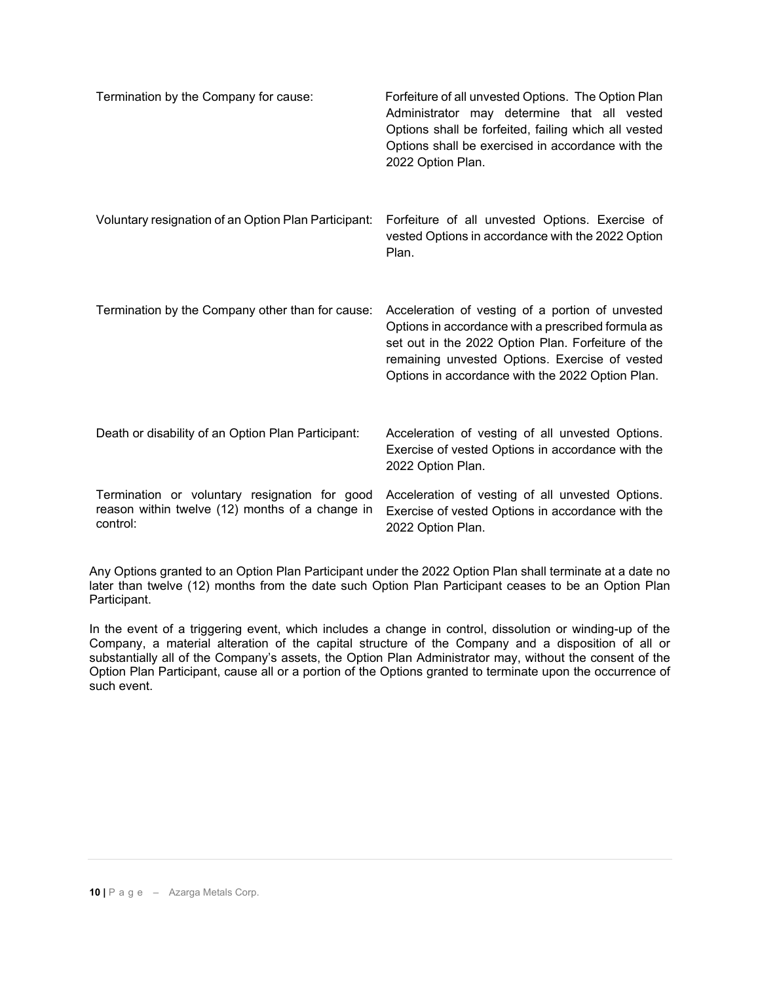| Termination by the Company for cause:                                                                        | Forfeiture of all unvested Options. The Option Plan<br>Administrator may determine that all vested<br>Options shall be forfeited, failing which all vested<br>Options shall be exercised in accordance with the<br>2022 Option Plan.                               |
|--------------------------------------------------------------------------------------------------------------|--------------------------------------------------------------------------------------------------------------------------------------------------------------------------------------------------------------------------------------------------------------------|
| Voluntary resignation of an Option Plan Participant:                                                         | Forfeiture of all unvested Options. Exercise of<br>vested Options in accordance with the 2022 Option<br>Plan.                                                                                                                                                      |
| Termination by the Company other than for cause:                                                             | Acceleration of vesting of a portion of unvested<br>Options in accordance with a prescribed formula as<br>set out in the 2022 Option Plan. Forfeiture of the<br>remaining unvested Options. Exercise of vested<br>Options in accordance with the 2022 Option Plan. |
| Death or disability of an Option Plan Participant:                                                           | Acceleration of vesting of all unvested Options.<br>Exercise of vested Options in accordance with the<br>2022 Option Plan.                                                                                                                                         |
| Termination or voluntary resignation for good<br>reason within twelve (12) months of a change in<br>control: | Acceleration of vesting of all unvested Options.<br>Exercise of vested Options in accordance with the<br>2022 Option Plan.                                                                                                                                         |

Any Options granted to an Option Plan Participant under the 2022 Option Plan shall terminate at a date no later than twelve (12) months from the date such Option Plan Participant ceases to be an Option Plan Participant.

In the event of a triggering event, which includes a change in control, dissolution or winding-up of the Company, a material alteration of the capital structure of the Company and a disposition of all or substantially all of the Company's assets, the Option Plan Administrator may, without the consent of the Option Plan Participant, cause all or a portion of the Options granted to terminate upon the occurrence of such event.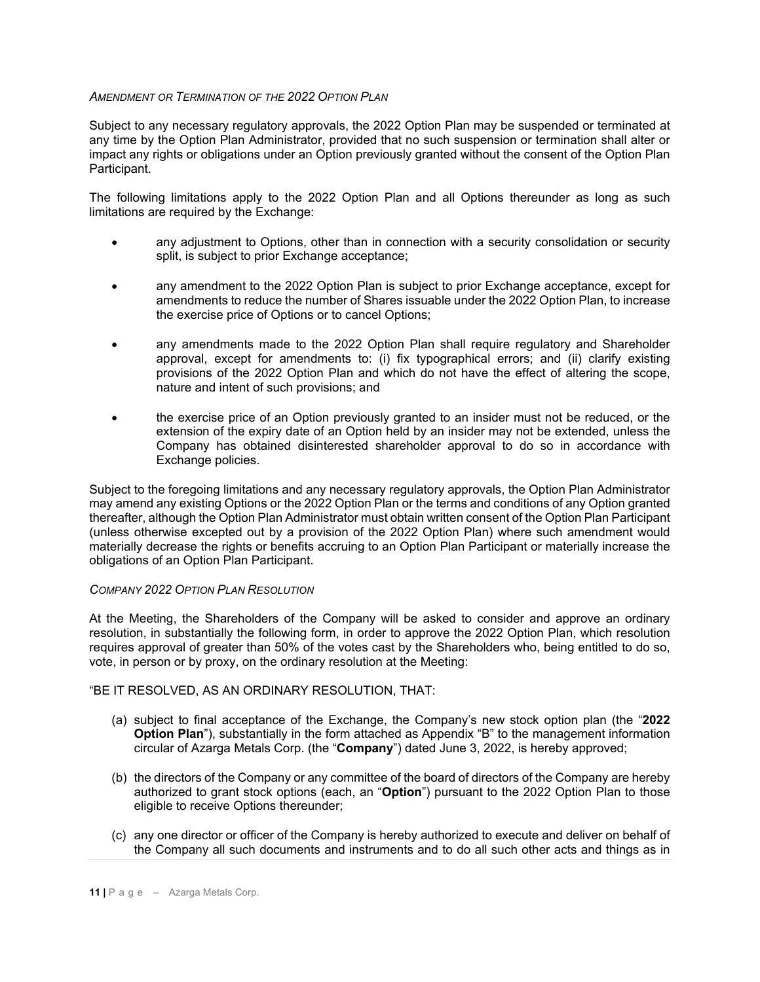### *AMENDMENT OR TERMINATION OF THE 2022 OPTION PLAN*

Subject to any necessary regulatory approvals, the 2022 Option Plan may be suspended or terminated at any time by the Option Plan Administrator, provided that no such suspension or termination shall alter or impact any rights or obligations under an Option previously granted without the consent of the Option Plan Participant.

The following limitations apply to the 2022 Option Plan and all Options thereunder as long as such limitations are required by the Exchange:

- any adjustment to Options, other than in connection with a security consolidation or security split, is subject to prior Exchange acceptance;
- any amendment to the 2022 Option Plan is subject to prior Exchange acceptance, except for amendments to reduce the number of Shares issuable under the 2022 Option Plan, to increase the exercise price of Options or to cancel Options;
- any amendments made to the 2022 Option Plan shall require regulatory and Shareholder approval, except for amendments to: (i) fix typographical errors; and (ii) clarify existing provisions of the 2022 Option Plan and which do not have the effect of altering the scope, nature and intent of such provisions; and
- the exercise price of an Option previously granted to an insider must not be reduced, or the extension of the expiry date of an Option held by an insider may not be extended, unless the Company has obtained disinterested shareholder approval to do so in accordance with Exchange policies.

Subject to the foregoing limitations and any necessary regulatory approvals, the Option Plan Administrator may amend any existing Options or the 2022 Option Plan or the terms and conditions of any Option granted thereafter, although the Option Plan Administrator must obtain written consent of the Option Plan Participant (unless otherwise excepted out by a provision of the 2022 Option Plan) where such amendment would materially decrease the rights or benefits accruing to an Option Plan Participant or materially increase the obligations of an Option Plan Participant.

### *COMPANY 2022 OPTION PLAN RESOLUTION*

At the Meeting, the Shareholders of the Company will be asked to consider and approve an ordinary resolution, in substantially the following form, in order to approve the 2022 Option Plan, which resolution requires approval of greater than 50% of the votes cast by the Shareholders who, being entitled to do so, vote, in person or by proxy, on the ordinary resolution at the Meeting:

### "BE IT RESOLVED, AS AN ORDINARY RESOLUTION, THAT:

- (a) subject to final acceptance of the Exchange, the Company's new stock option plan (the "**2022 Option Plan**"), substantially in the form attached as Appendix "B" to the management information circular of Azarga Metals Corp. (the "**Company**") dated June 3, 2022, is hereby approved;
- (b) the directors of the Company or any committee of the board of directors of the Company are hereby authorized to grant stock options (each, an "**Option**") pursuant to the 2022 Option Plan to those eligible to receive Options thereunder;
- (c) any one director or officer of the Company is hereby authorized to execute and deliver on behalf of the Company all such documents and instruments and to do all such other acts and things as in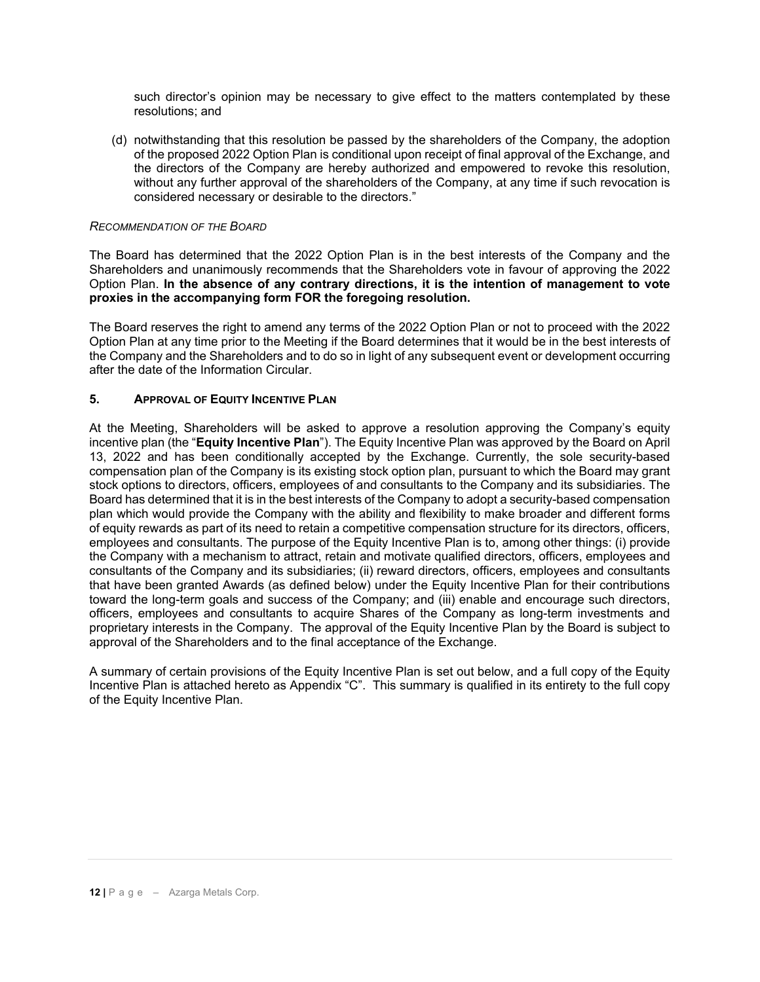such director's opinion may be necessary to give effect to the matters contemplated by these resolutions; and

(d) notwithstanding that this resolution be passed by the shareholders of the Company, the adoption of the proposed 2022 Option Plan is conditional upon receipt of final approval of the Exchange, and the directors of the Company are hereby authorized and empowered to revoke this resolution, without any further approval of the shareholders of the Company, at any time if such revocation is considered necessary or desirable to the directors."

### *RECOMMENDATION OF THE BOARD*

The Board has determined that the 2022 Option Plan is in the best interests of the Company and the Shareholders and unanimously recommends that the Shareholders vote in favour of approving the 2022 Option Plan. **In the absence of any contrary directions, it is the intention of management to vote proxies in the accompanying form FOR the foregoing resolution.**

The Board reserves the right to amend any terms of the 2022 Option Plan or not to proceed with the 2022 Option Plan at any time prior to the Meeting if the Board determines that it would be in the best interests of the Company and the Shareholders and to do so in light of any subsequent event or development occurring after the date of the Information Circular.

### **5. APPROVAL OF EQUITY INCENTIVE PLAN**

At the Meeting, Shareholders will be asked to approve a resolution approving the Company's equity incentive plan (the "**Equity Incentive Plan**"). The Equity Incentive Plan was approved by the Board on April 13, 2022 and has been conditionally accepted by the Exchange. Currently, the sole security-based compensation plan of the Company is its existing stock option plan, pursuant to which the Board may grant stock options to directors, officers, employees of and consultants to the Company and its subsidiaries. The Board has determined that it is in the best interests of the Company to adopt a security-based compensation plan which would provide the Company with the ability and flexibility to make broader and different forms of equity rewards as part of its need to retain a competitive compensation structure for its directors, officers, employees and consultants. The purpose of the Equity Incentive Plan is to, among other things: (i) provide the Company with a mechanism to attract, retain and motivate qualified directors, officers, employees and consultants of the Company and its subsidiaries; (ii) reward directors, officers, employees and consultants that have been granted Awards (as defined below) under the Equity Incentive Plan for their contributions toward the long-term goals and success of the Company; and (iii) enable and encourage such directors, officers, employees and consultants to acquire Shares of the Company as long-term investments and proprietary interests in the Company. The approval of the Equity Incentive Plan by the Board is subject to approval of the Shareholders and to the final acceptance of the Exchange.

A summary of certain provisions of the Equity Incentive Plan is set out below, and a full copy of the Equity Incentive Plan is attached hereto as Appendix "C". This summary is qualified in its entirety to the full copy of the Equity Incentive Plan.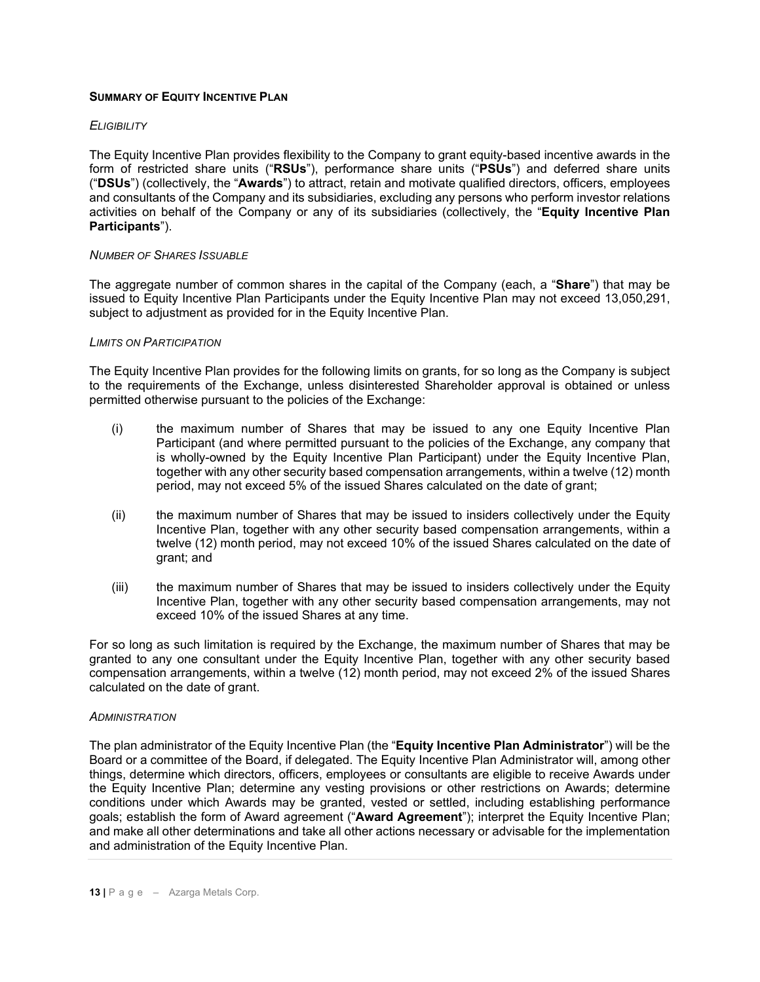### **SUMMARY OF EQUITY INCENTIVE PLAN**

### *ELIGIBILITY*

The Equity Incentive Plan provides flexibility to the Company to grant equity-based incentive awards in the form of restricted share units ("**RSUs**"), performance share units ("**PSUs**") and deferred share units ("**DSUs**") (collectively, the "**Awards**") to attract, retain and motivate qualified directors, officers, employees and consultants of the Company and its subsidiaries, excluding any persons who perform investor relations activities on behalf of the Company or any of its subsidiaries (collectively, the "**Equity Incentive Plan Participants**").

#### *NUMBER OF SHARES ISSUABLE*

The aggregate number of common shares in the capital of the Company (each, a "**Share**") that may be issued to Equity Incentive Plan Participants under the Equity Incentive Plan may not exceed 13,050,291, subject to adjustment as provided for in the Equity Incentive Plan.

#### *LIMITS ON PARTICIPATION*

The Equity Incentive Plan provides for the following limits on grants, for so long as the Company is subject to the requirements of the Exchange, unless disinterested Shareholder approval is obtained or unless permitted otherwise pursuant to the policies of the Exchange:

- (i) the maximum number of Shares that may be issued to any one Equity Incentive Plan Participant (and where permitted pursuant to the policies of the Exchange, any company that is wholly-owned by the Equity Incentive Plan Participant) under the Equity Incentive Plan, together with any other security based compensation arrangements, within a twelve (12) month period, may not exceed 5% of the issued Shares calculated on the date of grant;
- (ii) the maximum number of Shares that may be issued to insiders collectively under the Equity Incentive Plan, together with any other security based compensation arrangements, within a twelve (12) month period, may not exceed 10% of the issued Shares calculated on the date of grant; and
- (iii) the maximum number of Shares that may be issued to insiders collectively under the Equity Incentive Plan, together with any other security based compensation arrangements, may not exceed 10% of the issued Shares at any time.

For so long as such limitation is required by the Exchange, the maximum number of Shares that may be granted to any one consultant under the Equity Incentive Plan, together with any other security based compensation arrangements, within a twelve (12) month period, may not exceed 2% of the issued Shares calculated on the date of grant.

#### *ADMINISTRATION*

The plan administrator of the Equity Incentive Plan (the "**Equity Incentive Plan Administrator**") will be the Board or a committee of the Board, if delegated. The Equity Incentive Plan Administrator will, among other things, determine which directors, officers, employees or consultants are eligible to receive Awards under the Equity Incentive Plan; determine any vesting provisions or other restrictions on Awards; determine conditions under which Awards may be granted, vested or settled, including establishing performance goals; establish the form of Award agreement ("**Award Agreement**"); interpret the Equity Incentive Plan; and make all other determinations and take all other actions necessary or advisable for the implementation and administration of the Equity Incentive Plan.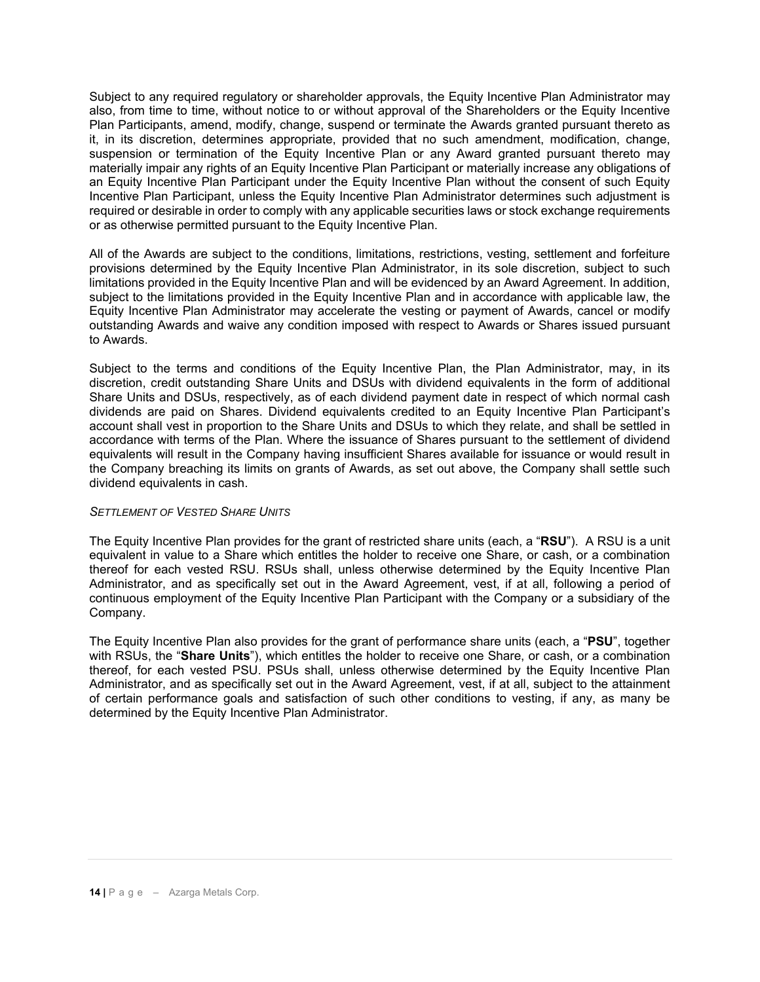Subject to any required regulatory or shareholder approvals, the Equity Incentive Plan Administrator may also, from time to time, without notice to or without approval of the Shareholders or the Equity Incentive Plan Participants, amend, modify, change, suspend or terminate the Awards granted pursuant thereto as it, in its discretion, determines appropriate, provided that no such amendment, modification, change, suspension or termination of the Equity Incentive Plan or any Award granted pursuant thereto may materially impair any rights of an Equity Incentive Plan Participant or materially increase any obligations of an Equity Incentive Plan Participant under the Equity Incentive Plan without the consent of such Equity Incentive Plan Participant, unless the Equity Incentive Plan Administrator determines such adjustment is required or desirable in order to comply with any applicable securities laws or stock exchange requirements or as otherwise permitted pursuant to the Equity Incentive Plan.

All of the Awards are subject to the conditions, limitations, restrictions, vesting, settlement and forfeiture provisions determined by the Equity Incentive Plan Administrator, in its sole discretion, subject to such limitations provided in the Equity Incentive Plan and will be evidenced by an Award Agreement. In addition, subject to the limitations provided in the Equity Incentive Plan and in accordance with applicable law, the Equity Incentive Plan Administrator may accelerate the vesting or payment of Awards, cancel or modify outstanding Awards and waive any condition imposed with respect to Awards or Shares issued pursuant to Awards.

Subject to the terms and conditions of the Equity Incentive Plan, the Plan Administrator, may, in its discretion, credit outstanding Share Units and DSUs with dividend equivalents in the form of additional Share Units and DSUs, respectively, as of each dividend payment date in respect of which normal cash dividends are paid on Shares. Dividend equivalents credited to an Equity Incentive Plan Participant's account shall vest in proportion to the Share Units and DSUs to which they relate, and shall be settled in accordance with terms of the Plan. Where the issuance of Shares pursuant to the settlement of dividend equivalents will result in the Company having insufficient Shares available for issuance or would result in the Company breaching its limits on grants of Awards, as set out above, the Company shall settle such dividend equivalents in cash.

### *SETTLEMENT OF VESTED SHARE UNITS*

The Equity Incentive Plan provides for the grant of restricted share units (each, a "**RSU**"). A RSU is a unit equivalent in value to a Share which entitles the holder to receive one Share, or cash, or a combination thereof for each vested RSU. RSUs shall, unless otherwise determined by the Equity Incentive Plan Administrator, and as specifically set out in the Award Agreement, vest, if at all, following a period of continuous employment of the Equity Incentive Plan Participant with the Company or a subsidiary of the Company.

The Equity Incentive Plan also provides for the grant of performance share units (each, a "**PSU**", together with RSUs, the "**Share Units**"), which entitles the holder to receive one Share, or cash, or a combination thereof, for each vested PSU. PSUs shall, unless otherwise determined by the Equity Incentive Plan Administrator, and as specifically set out in the Award Agreement, vest, if at all, subject to the attainment of certain performance goals and satisfaction of such other conditions to vesting, if any, as many be determined by the Equity Incentive Plan Administrator.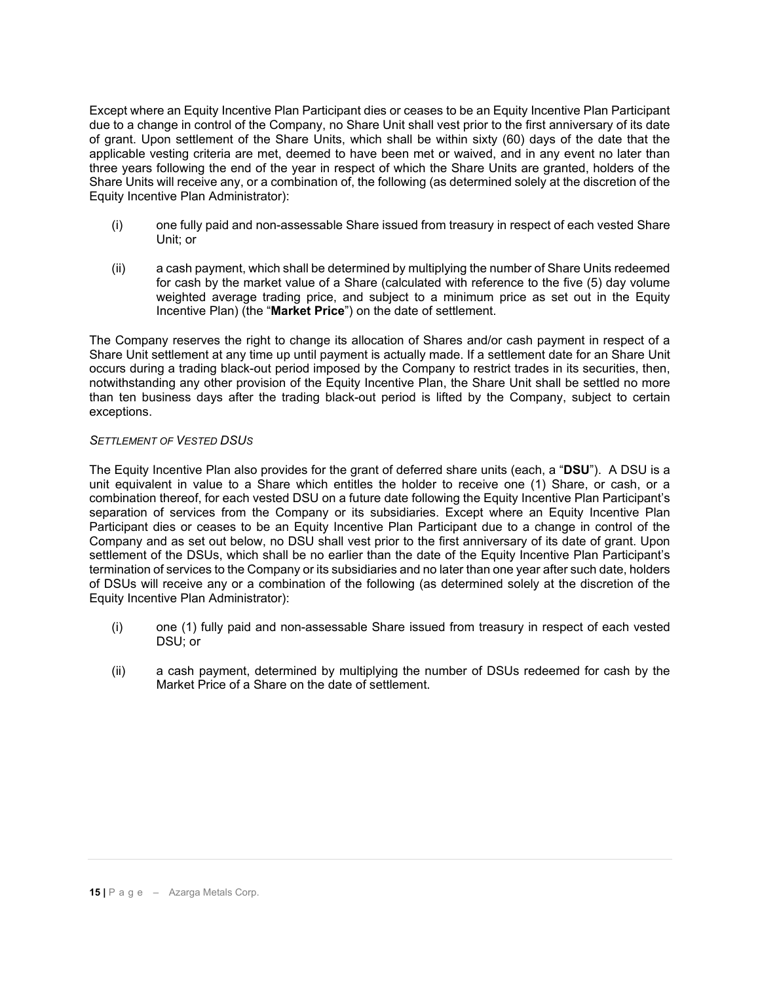Except where an Equity Incentive Plan Participant dies or ceases to be an Equity Incentive Plan Participant due to a change in control of the Company, no Share Unit shall vest prior to the first anniversary of its date of grant. Upon settlement of the Share Units, which shall be within sixty (60) days of the date that the applicable vesting criteria are met, deemed to have been met or waived, and in any event no later than three years following the end of the year in respect of which the Share Units are granted, holders of the Share Units will receive any, or a combination of, the following (as determined solely at the discretion of the Equity Incentive Plan Administrator):

- (i) one fully paid and non-assessable Share issued from treasury in respect of each vested Share Unit; or
- (ii) a cash payment, which shall be determined by multiplying the number of Share Units redeemed for cash by the market value of a Share (calculated with reference to the five (5) day volume weighted average trading price, and subject to a minimum price as set out in the Equity Incentive Plan) (the "**Market Price**") on the date of settlement.

The Company reserves the right to change its allocation of Shares and/or cash payment in respect of a Share Unit settlement at any time up until payment is actually made. If a settlement date for an Share Unit occurs during a trading black-out period imposed by the Company to restrict trades in its securities, then, notwithstanding any other provision of the Equity Incentive Plan, the Share Unit shall be settled no more than ten business days after the trading black-out period is lifted by the Company, subject to certain exceptions.

# *SETTLEMENT OF VESTED DSUS*

The Equity Incentive Plan also provides for the grant of deferred share units (each, a "**DSU**"). A DSU is a unit equivalent in value to a Share which entitles the holder to receive one (1) Share, or cash, or a combination thereof, for each vested DSU on a future date following the Equity Incentive Plan Participant's separation of services from the Company or its subsidiaries. Except where an Equity Incentive Plan Participant dies or ceases to be an Equity Incentive Plan Participant due to a change in control of the Company and as set out below, no DSU shall vest prior to the first anniversary of its date of grant. Upon settlement of the DSUs, which shall be no earlier than the date of the Equity Incentive Plan Participant's termination of services to the Company or its subsidiaries and no later than one year after such date, holders of DSUs will receive any or a combination of the following (as determined solely at the discretion of the Equity Incentive Plan Administrator):

- (i) one (1) fully paid and non-assessable Share issued from treasury in respect of each vested DSU; or
- (ii) a cash payment, determined by multiplying the number of DSUs redeemed for cash by the Market Price of a Share on the date of settlement.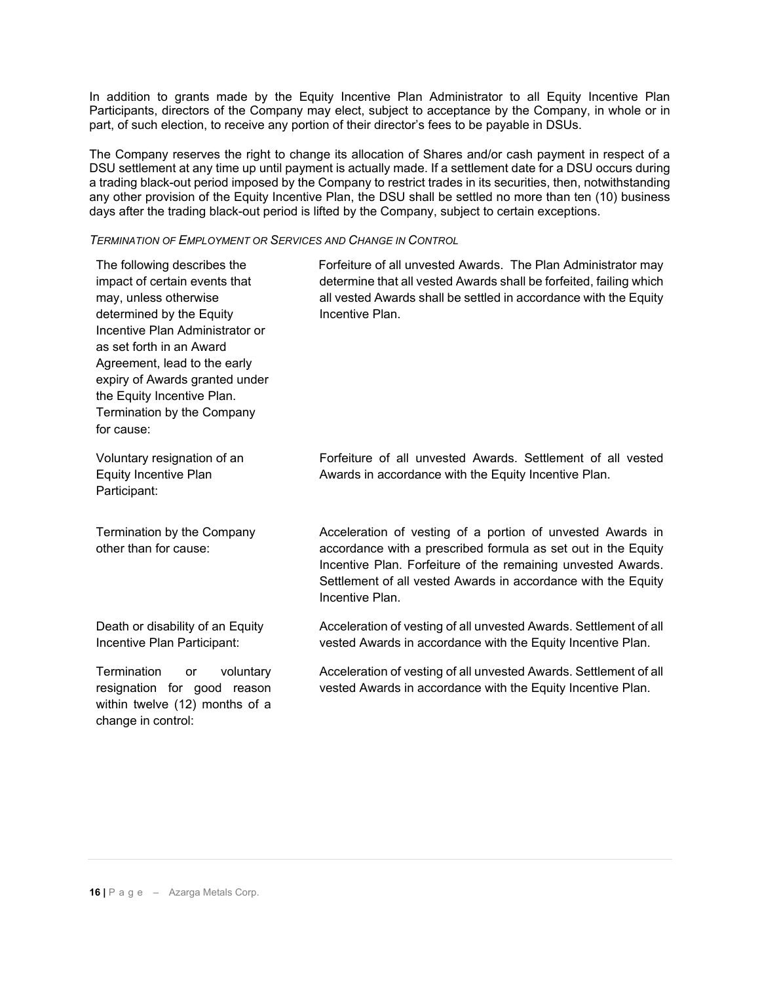In addition to grants made by the Equity Incentive Plan Administrator to all Equity Incentive Plan Participants, directors of the Company may elect, subject to acceptance by the Company, in whole or in part, of such election, to receive any portion of their director's fees to be payable in DSUs.

The Company reserves the right to change its allocation of Shares and/or cash payment in respect of a DSU settlement at any time up until payment is actually made. If a settlement date for a DSU occurs during a trading black-out period imposed by the Company to restrict trades in its securities, then, notwithstanding any other provision of the Equity Incentive Plan, the DSU shall be settled no more than ten (10) business days after the trading black-out period is lifted by the Company, subject to certain exceptions.

#### *TERMINATION OF EMPLOYMENT OR SERVICES AND CHANGE IN CONTROL*

| The following describes the<br>impact of certain events that<br>may, unless otherwise<br>determined by the Equity<br>Incentive Plan Administrator or<br>as set forth in an Award<br>Agreement, lead to the early<br>expiry of Awards granted under<br>the Equity Incentive Plan.<br>Termination by the Company<br>for cause: | Forfeiture of all unvested Awards. The Plan Administrator may<br>determine that all vested Awards shall be forfeited, failing which<br>all vested Awards shall be settled in accordance with the Equity<br>Incentive Plan.                                                      |
|------------------------------------------------------------------------------------------------------------------------------------------------------------------------------------------------------------------------------------------------------------------------------------------------------------------------------|---------------------------------------------------------------------------------------------------------------------------------------------------------------------------------------------------------------------------------------------------------------------------------|
| Voluntary resignation of an<br><b>Equity Incentive Plan</b><br>Participant:                                                                                                                                                                                                                                                  | Forfeiture of all unvested Awards. Settlement of all vested<br>Awards in accordance with the Equity Incentive Plan.                                                                                                                                                             |
| Termination by the Company<br>other than for cause:                                                                                                                                                                                                                                                                          | Acceleration of vesting of a portion of unvested Awards in<br>accordance with a prescribed formula as set out in the Equity<br>Incentive Plan. Forfeiture of the remaining unvested Awards.<br>Settlement of all vested Awards in accordance with the Equity<br>Incentive Plan. |
| Death or disability of an Equity<br>Incentive Plan Participant:                                                                                                                                                                                                                                                              | Acceleration of vesting of all unvested Awards. Settlement of all<br>vested Awards in accordance with the Equity Incentive Plan.                                                                                                                                                |
| Termination<br>voluntary<br>or<br>resignation for good reason<br>within twelve (12) months of a<br>change in control:                                                                                                                                                                                                        | Acceleration of vesting of all unvested Awards. Settlement of all<br>vested Awards in accordance with the Equity Incentive Plan.                                                                                                                                                |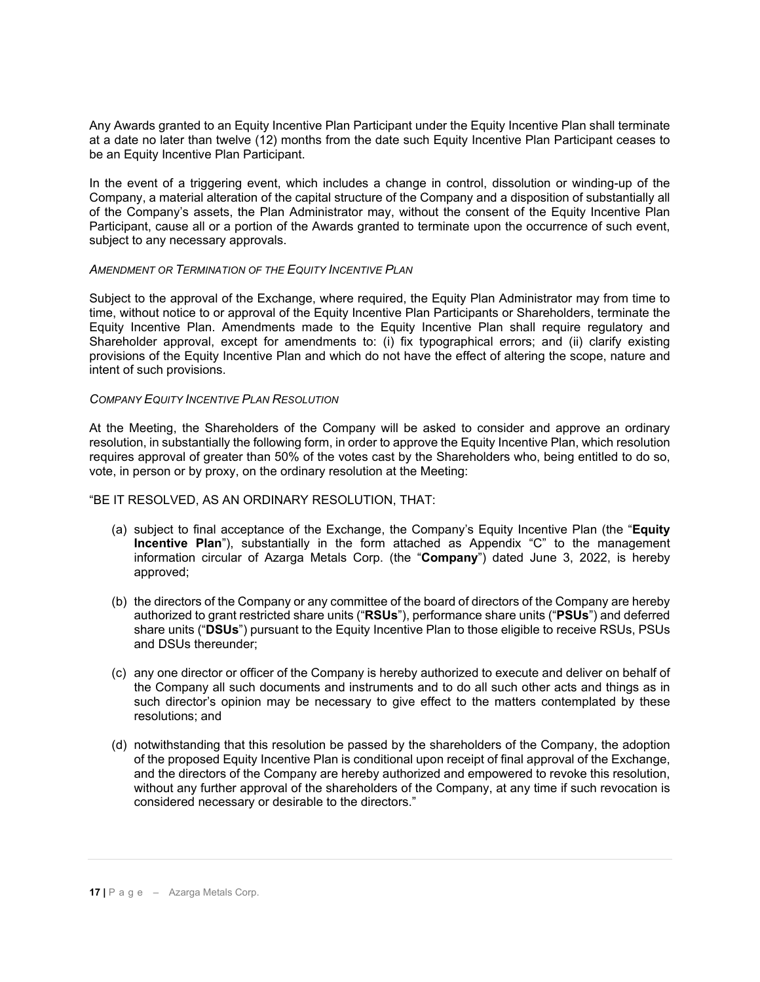Any Awards granted to an Equity Incentive Plan Participant under the Equity Incentive Plan shall terminate at a date no later than twelve (12) months from the date such Equity Incentive Plan Participant ceases to be an Equity Incentive Plan Participant.

In the event of a triggering event, which includes a change in control, dissolution or winding-up of the Company, a material alteration of the capital structure of the Company and a disposition of substantially all of the Company's assets, the Plan Administrator may, without the consent of the Equity Incentive Plan Participant, cause all or a portion of the Awards granted to terminate upon the occurrence of such event, subject to any necessary approvals.

### *AMENDMENT OR TERMINATION OF THE EQUITY INCENTIVE PLAN*

Subject to the approval of the Exchange, where required, the Equity Plan Administrator may from time to time, without notice to or approval of the Equity Incentive Plan Participants or Shareholders, terminate the Equity Incentive Plan. Amendments made to the Equity Incentive Plan shall require regulatory and Shareholder approval, except for amendments to: (i) fix typographical errors; and (ii) clarify existing provisions of the Equity Incentive Plan and which do not have the effect of altering the scope, nature and intent of such provisions.

### *COMPANY EQUITY INCENTIVE PLAN RESOLUTION*

At the Meeting, the Shareholders of the Company will be asked to consider and approve an ordinary resolution, in substantially the following form, in order to approve the Equity Incentive Plan, which resolution requires approval of greater than 50% of the votes cast by the Shareholders who, being entitled to do so, vote, in person or by proxy, on the ordinary resolution at the Meeting:

### "BE IT RESOLVED, AS AN ORDINARY RESOLUTION, THAT:

- (a) subject to final acceptance of the Exchange, the Company's Equity Incentive Plan (the "**Equity Incentive Plan**"), substantially in the form attached as Appendix "C" to the management information circular of Azarga Metals Corp. (the "**Company**") dated June 3, 2022, is hereby approved;
- (b) the directors of the Company or any committee of the board of directors of the Company are hereby authorized to grant restricted share units ("**RSUs**"), performance share units ("**PSUs**") and deferred share units ("**DSUs**") pursuant to the Equity Incentive Plan to those eligible to receive RSUs, PSUs and DSUs thereunder;
- (c) any one director or officer of the Company is hereby authorized to execute and deliver on behalf of the Company all such documents and instruments and to do all such other acts and things as in such director's opinion may be necessary to give effect to the matters contemplated by these resolutions; and
- (d) notwithstanding that this resolution be passed by the shareholders of the Company, the adoption of the proposed Equity Incentive Plan is conditional upon receipt of final approval of the Exchange, and the directors of the Company are hereby authorized and empowered to revoke this resolution, without any further approval of the shareholders of the Company, at any time if such revocation is considered necessary or desirable to the directors."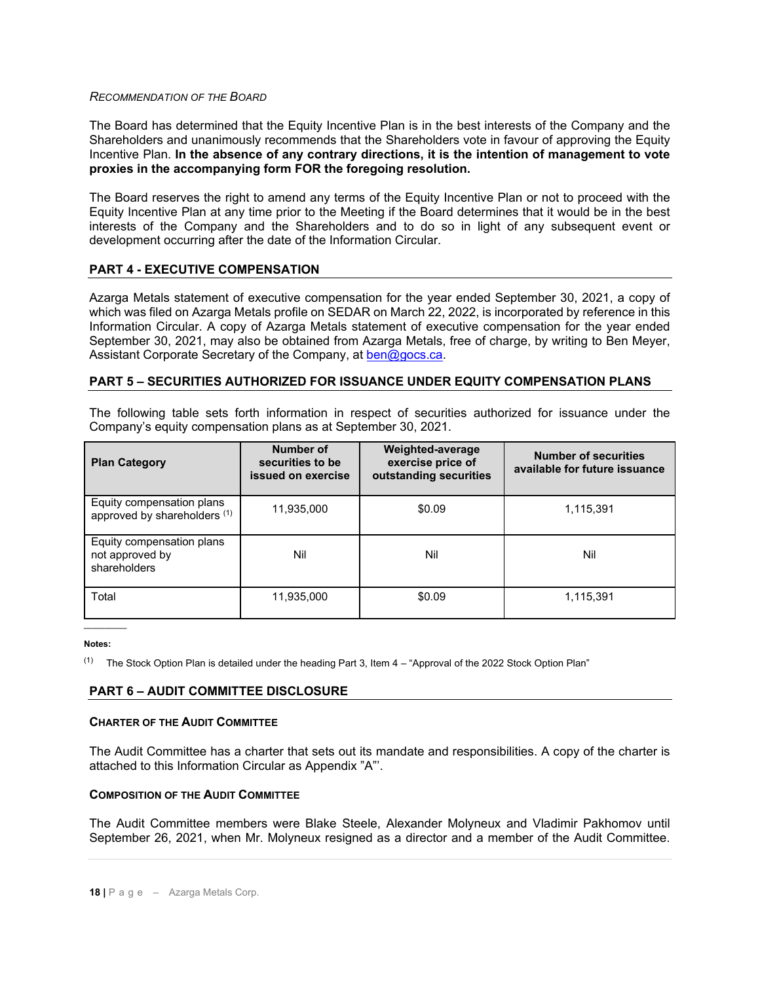#### *RECOMMENDATION OF THE BOARD*

The Board has determined that the Equity Incentive Plan is in the best interests of the Company and the Shareholders and unanimously recommends that the Shareholders vote in favour of approving the Equity Incentive Plan. **In the absence of any contrary directions, it is the intention of management to vote proxies in the accompanying form FOR the foregoing resolution.**

The Board reserves the right to amend any terms of the Equity Incentive Plan or not to proceed with the Equity Incentive Plan at any time prior to the Meeting if the Board determines that it would be in the best interests of the Company and the Shareholders and to do so in light of any subsequent event or development occurring after the date of the Information Circular.

# **PART 4 - EXECUTIVE COMPENSATION**

Azarga Metals statement of executive compensation for the year ended September 30, 2021, a copy of which was filed on Azarga Metals profile on SEDAR on March 22, 2022, is incorporated by reference in this Information Circular. A copy of Azarga Metals statement of executive compensation for the year ended September 30, 2021, may also be obtained from Azarga Metals, free of charge, by writing to Ben Meyer, Assistant Corporate Secretary of the Company, at [ben@gocs.ca.](mailto:ben@gocs.ca)

# **PART 5 – SECURITIES AUTHORIZED FOR ISSUANCE UNDER EQUITY COMPENSATION PLANS**

The following table sets forth information in respect of securities authorized for issuance under the Company's equity compensation plans as at September 30, 2021.

| <b>Plan Category</b>                                         | Number of<br>securities to be<br>issued on exercise | Weighted-average<br>exercise price of<br>outstanding securities | <b>Number of securities</b><br>available for future issuance |
|--------------------------------------------------------------|-----------------------------------------------------|-----------------------------------------------------------------|--------------------------------------------------------------|
| Equity compensation plans<br>approved by shareholders (1)    | 11,935,000                                          | \$0.09                                                          | 1,115,391                                                    |
| Equity compensation plans<br>not approved by<br>shareholders | Nil                                                 | Nil                                                             | Nil                                                          |
| Total                                                        | 11,935,000                                          | \$0.09                                                          | 1,115,391                                                    |

### $\overline{\phantom{a}}$ **Notes:**

(1) The Stock Option Plan is detailed under the heading Part 3, Item  $4 -$  "Approval of the 2022 Stock Option Plan"

### **PART 6 – AUDIT COMMITTEE DISCLOSURE**

#### **CHARTER OF THE AUDIT COMMITTEE**

The Audit Committee has a charter that sets out its mandate and responsibilities. A copy of the charter is attached to this Information Circular as Appendix "A"'.

### **COMPOSITION OF THE AUDIT COMMITTEE**

The Audit Committee members were Blake Steele, Alexander Molyneux and Vladimir Pakhomov until September 26, 2021, when Mr. Molyneux resigned as a director and a member of the Audit Committee.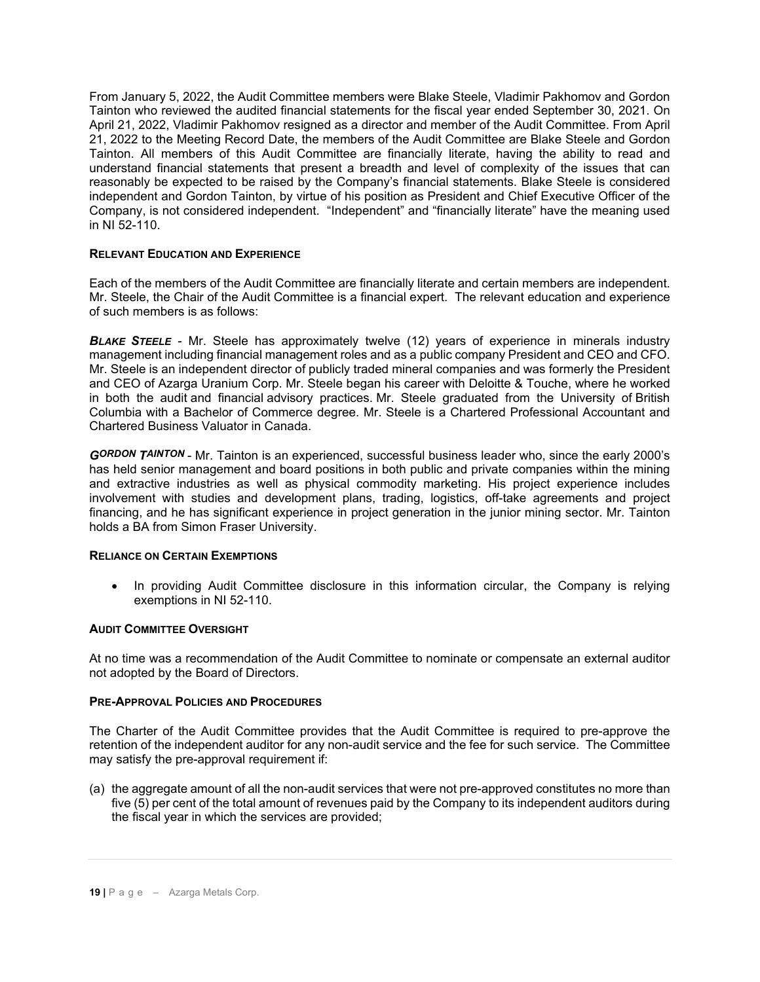From January 5, 2022, the Audit Committee members were Blake Steele, Vladimir Pakhomov and Gordon Tainton who reviewed the audited financial statements for the fiscal year ended September 30, 2021. On April 21, 2022, Vladimir Pakhomov resigned as a director and member of the Audit Committee. From April 21, 2022 to the Meeting Record Date, the members of the Audit Committee are Blake Steele and Gordon Tainton. All members of this Audit Committee are financially literate, having the ability to read and understand financial statements that present a breadth and level of complexity of the issues that can reasonably be expected to be raised by the Company's financial statements. Blake Steele is considered independent and Gordon Tainton, by virtue of his position as President and Chief Executive Officer of the Company, is not considered independent. "Independent" and "financially literate" have the meaning used in NI 52-110.

# **RELEVANT EDUCATION AND EXPERIENCE**

Each of the members of the Audit Committee are financially literate and certain members are independent. Mr. Steele, the Chair of the Audit Committee is a financial expert. The relevant education and experience of such members is as follows:

**BLAKE STEELE** - Mr. Steele has approximately twelve (12) years of experience in minerals industry management including financial management roles and as a public company President and CEO and CFO. Mr. Steele is an independent director of publicly traded mineral companies and was formerly the President and CEO of Azarga Uranium Corp. Mr. Steele began his career with Deloitte & Touche, where he worked in both the audit and financial advisory practices. Mr. Steele graduated from the University of British Columbia with a Bachelor of Commerce degree. Mr. Steele is a Chartered Professional Accountant and Chartered Business Valuator in Canada.

*GORDON TAINTON* - Mr. Tainton is an experienced, successful business leader who, since the early 2000's has held senior management and board positions in both public and private companies within the mining and extractive industries as well as physical commodity marketing. His project experience includes involvement with studies and development plans, trading, logistics, off-take agreements and project financing, and he has significant experience in project generation in the junior mining sector. Mr. Tainton holds a BA from Simon Fraser University.

### **RELIANCE ON CERTAIN EXEMPTIONS**

• In providing Audit Committee disclosure in this information circular, the Company is relying exemptions in NI 52-110.

### **AUDIT COMMITTEE OVERSIGHT**

At no time was a recommendation of the Audit Committee to nominate or compensate an external auditor not adopted by the Board of Directors.

# **PRE-APPROVAL POLICIES AND PROCEDURES**

The Charter of the Audit Committee provides that the Audit Committee is required to pre-approve the retention of the independent auditor for any non-audit service and the fee for such service. The Committee may satisfy the pre-approval requirement if:

(a) the aggregate amount of all the non-audit services that were not pre-approved constitutes no more than five (5) per cent of the total amount of revenues paid by the Company to its independent auditors during the fiscal year in which the services are provided;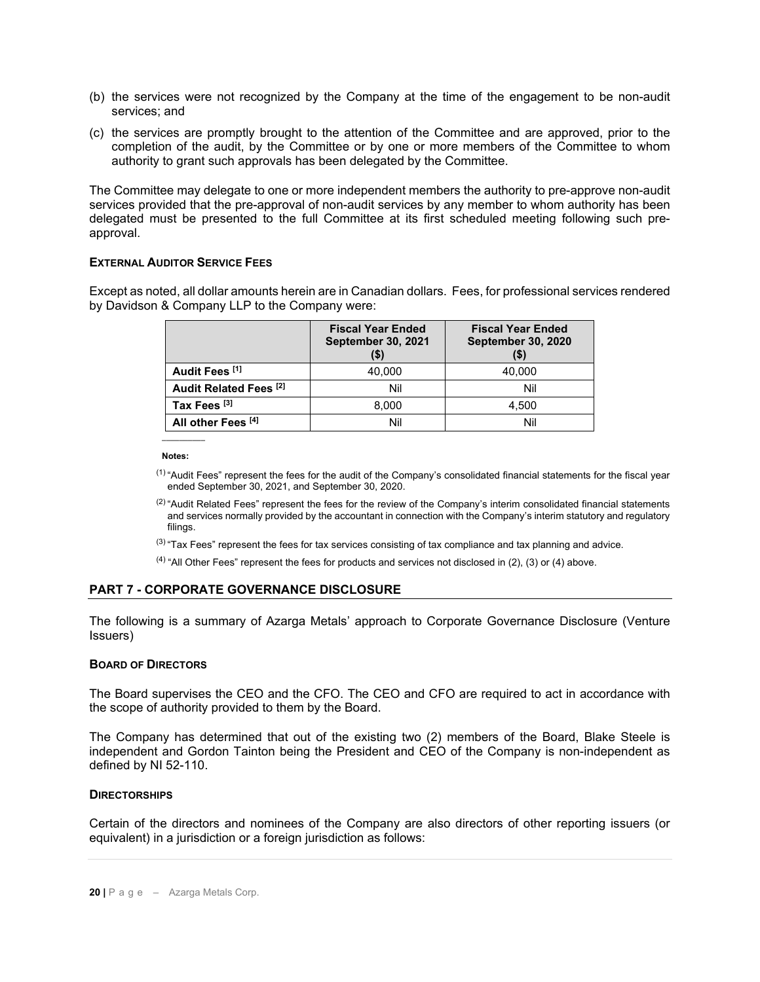- (b) the services were not recognized by the Company at the time of the engagement to be non-audit services; and
- (c) the services are promptly brought to the attention of the Committee and are approved, prior to the completion of the audit, by the Committee or by one or more members of the Committee to whom authority to grant such approvals has been delegated by the Committee.

The Committee may delegate to one or more independent members the authority to pre-approve non-audit services provided that the pre-approval of non-audit services by any member to whom authority has been delegated must be presented to the full Committee at its first scheduled meeting following such preapproval.

#### **EXTERNAL AUDITOR SERVICE FEES**

Except as noted, all dollar amounts herein are in Canadian dollars. Fees, for professional services rendered by Davidson & Company LLP to the Company were:

|                               | <b>Fiscal Year Ended</b><br><b>September 30, 2021</b> | <b>Fiscal Year Ended</b><br><b>September 30, 2020</b> |
|-------------------------------|-------------------------------------------------------|-------------------------------------------------------|
| Audit Fees <sup>[1]</sup>     | 40.000                                                | 40.000                                                |
| <b>Audit Related Fees [2]</b> | Nil                                                   | Nil                                                   |
| Tax Fees <sup>[3]</sup>       | 8.000                                                 | 4.500                                                 |
| All other Fees <sup>[4]</sup> | Nil                                                   | Nil                                                   |

**Notes:**

 $\overline{\phantom{a}}$ 

- $(1)$  "Audit Fees" represent the fees for the audit of the Company's consolidated financial statements for the fiscal year ended September 30, 2021, and September 30, 2020.
- $(2)$  "Audit Related Fees" represent the fees for the review of the Company's interim consolidated financial statements and services normally provided by the accountant in connection with the Company's interim statutory and regulatory filings.
- $(3)$  "Tax Fees" represent the fees for tax services consisting of tax compliance and tax planning and advice.
- $<sup>(4)</sup>$  "All Other Fees" represent the fees for products and services not disclosed in (2), (3) or (4) above.</sup>

### **PART 7 - CORPORATE GOVERNANCE DISCLOSURE**

The following is a summary of Azarga Metals' approach to Corporate Governance Disclosure (Venture Issuers)

#### **BOARD OF DIRECTORS**

The Board supervises the CEO and the CFO. The CEO and CFO are required to act in accordance with the scope of authority provided to them by the Board.

The Company has determined that out of the existing two (2) members of the Board, Blake Steele is independent and Gordon Tainton being the President and CEO of the Company is non-independent as defined by NI 52-110.

#### **DIRECTORSHIPS**

Certain of the directors and nominees of the Company are also directors of other reporting issuers (or equivalent) in a jurisdiction or a foreign jurisdiction as follows: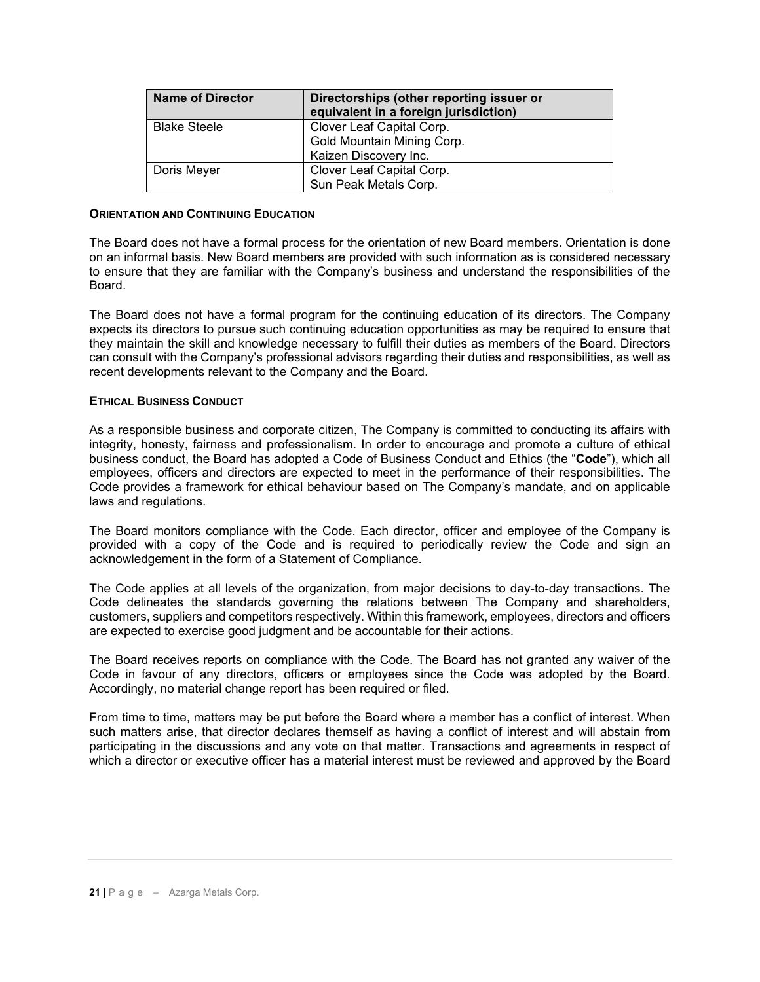| <b>Name of Director</b> | Directorships (other reporting issuer or<br>equivalent in a foreign jurisdiction) |
|-------------------------|-----------------------------------------------------------------------------------|
| <b>Blake Steele</b>     | Clover Leaf Capital Corp.<br>Gold Mountain Mining Corp.<br>Kaizen Discovery Inc.  |
| Doris Meyer             | Clover Leaf Capital Corp.<br>Sun Peak Metals Corp.                                |

### **ORIENTATION AND CONTINUING EDUCATION**

The Board does not have a formal process for the orientation of new Board members. Orientation is done on an informal basis. New Board members are provided with such information as is considered necessary to ensure that they are familiar with the Company's business and understand the responsibilities of the Board.

The Board does not have a formal program for the continuing education of its directors. The Company expects its directors to pursue such continuing education opportunities as may be required to ensure that they maintain the skill and knowledge necessary to fulfill their duties as members of the Board. Directors can consult with the Company's professional advisors regarding their duties and responsibilities, as well as recent developments relevant to the Company and the Board.

#### **ETHICAL BUSINESS CONDUCT**

As a responsible business and corporate citizen, The Company is committed to conducting its affairs with integrity, honesty, fairness and professionalism. In order to encourage and promote a culture of ethical business conduct, the Board has adopted a Code of Business Conduct and Ethics (the "**Code**"), which all employees, officers and directors are expected to meet in the performance of their responsibilities. The Code provides a framework for ethical behaviour based on The Company's mandate, and on applicable laws and regulations.

The Board monitors compliance with the Code. Each director, officer and employee of the Company is provided with a copy of the Code and is required to periodically review the Code and sign an acknowledgement in the form of a Statement of Compliance.

The Code applies at all levels of the organization, from major decisions to day-to-day transactions. The Code delineates the standards governing the relations between The Company and shareholders, customers, suppliers and competitors respectively. Within this framework, employees, directors and officers are expected to exercise good judgment and be accountable for their actions.

The Board receives reports on compliance with the Code. The Board has not granted any waiver of the Code in favour of any directors, officers or employees since the Code was adopted by the Board. Accordingly, no material change report has been required or filed.

From time to time, matters may be put before the Board where a member has a conflict of interest. When such matters arise, that director declares themself as having a conflict of interest and will abstain from participating in the discussions and any vote on that matter. Transactions and agreements in respect of which a director or executive officer has a material interest must be reviewed and approved by the Board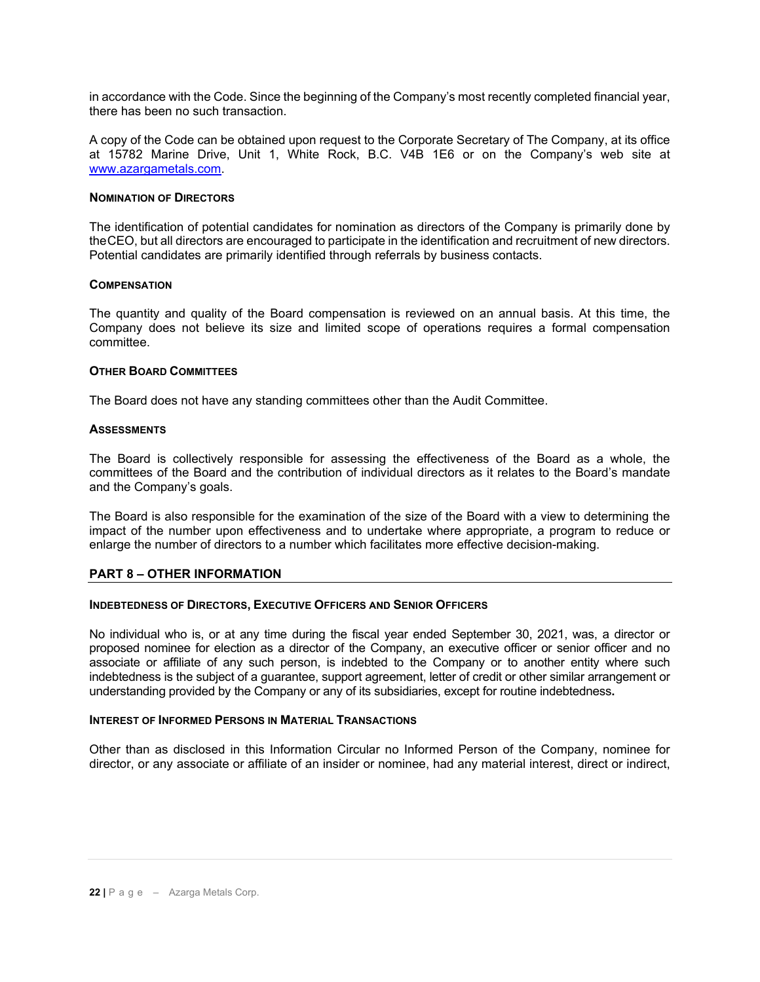in accordance with the Code. Since the beginning of the Company's most recently completed financial year, there has been no such transaction.

A copy of the Code can be obtained upon request to the Corporate Secretary of The Company, at its office at 15782 Marine Drive, Unit 1, White Rock, B.C. V4B 1E6 or on the Company's web site at [www.azargametals.com.](http://www.azargametals.com/)

#### **NOMINATION OF DIRECTORS**

The identification of potential candidates for nomination as directors of the Company is primarily done by theCEO, but all directors are encouraged to participate in the identification and recruitment of new directors. Potential candidates are primarily identified through referrals by business contacts.

#### **COMPENSATION**

The quantity and quality of the Board compensation is reviewed on an annual basis. At this time, the Company does not believe its size and limited scope of operations requires a formal compensation committee.

#### **OTHER BOARD COMMITTEES**

The Board does not have any standing committees other than the Audit Committee.

#### **ASSESSMENTS**

The Board is collectively responsible for assessing the effectiveness of the Board as a whole, the committees of the Board and the contribution of individual directors as it relates to the Board's mandate and the Company's goals.

The Board is also responsible for the examination of the size of the Board with a view to determining the impact of the number upon effectiveness and to undertake where appropriate, a program to reduce or enlarge the number of directors to a number which facilitates more effective decision-making.

### **PART 8 – OTHER INFORMATION**

#### **INDEBTEDNESS OF DIRECTORS, EXECUTIVE OFFICERS AND SENIOR OFFICERS**

No individual who is, or at any time during the fiscal year ended September 30, 2021, was, a director or proposed nominee for election as a director of the Company, an executive officer or senior officer and no associate or affiliate of any such person, is indebted to the Company or to another entity where such indebtedness is the subject of a guarantee, support agreement, letter of credit or other similar arrangement or understanding provided by the Company or any of its subsidiaries, except for routine indebtedness**.**

#### **INTEREST OF INFORMED PERSONS IN MATERIAL TRANSACTIONS**

Other than as disclosed in this Information Circular no Informed Person of the Company, nominee for director, or any associate or affiliate of an insider or nominee, had any material interest, direct or indirect,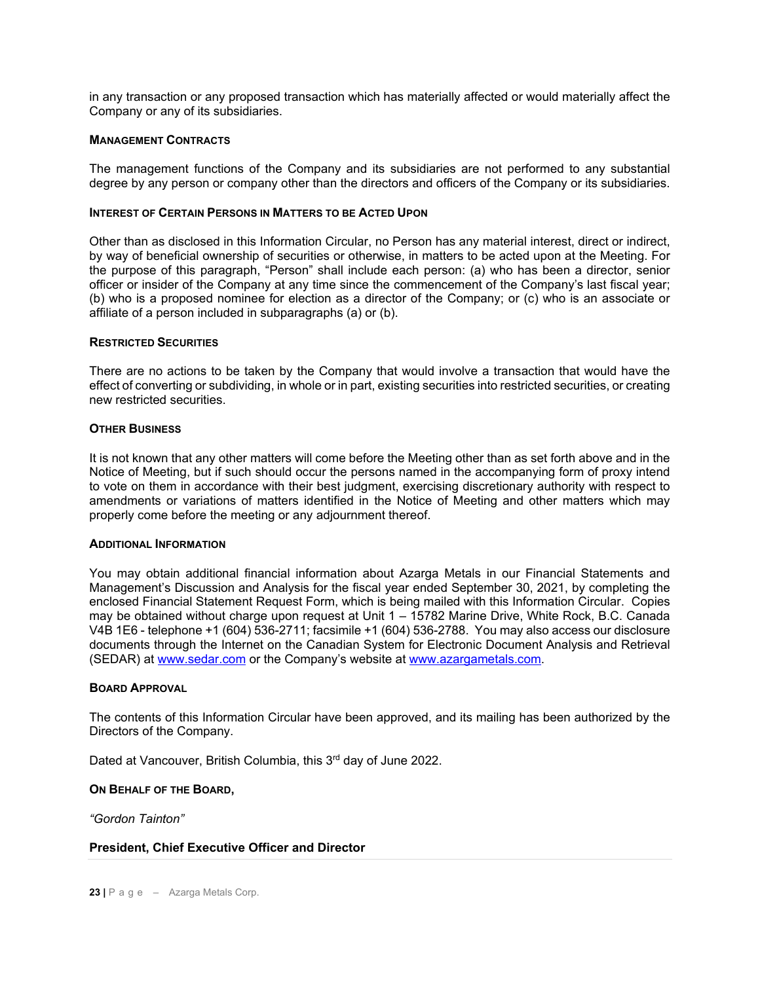in any transaction or any proposed transaction which has materially affected or would materially affect the Company or any of its subsidiaries.

#### **MANAGEMENT CONTRACTS**

The management functions of the Company and its subsidiaries are not performed to any substantial degree by any person or company other than the directors and officers of the Company or its subsidiaries.

#### **INTEREST OF CERTAIN PERSONS IN MATTERS TO BE ACTED UPON**

Other than as disclosed in this Information Circular, no Person has any material interest, direct or indirect, by way of beneficial ownership of securities or otherwise, in matters to be acted upon at the Meeting. For the purpose of this paragraph, "Person" shall include each person: (a) who has been a director, senior officer or insider of the Company at any time since the commencement of the Company's last fiscal year; (b) who is a proposed nominee for election as a director of the Company; or (c) who is an associate or affiliate of a person included in subparagraphs (a) or (b).

#### **RESTRICTED SECURITIES**

There are no actions to be taken by the Company that would involve a transaction that would have the effect of converting or subdividing, in whole or in part, existing securities into restricted securities, or creating new restricted securities.

#### **OTHER BUSINESS**

It is not known that any other matters will come before the Meeting other than as set forth above and in the Notice of Meeting, but if such should occur the persons named in the accompanying form of proxy intend to vote on them in accordance with their best judgment, exercising discretionary authority with respect to amendments or variations of matters identified in the Notice of Meeting and other matters which may properly come before the meeting or any adjournment thereof.

#### **ADDITIONAL INFORMATION**

You may obtain additional financial information about Azarga Metals in our Financial Statements and Management's Discussion and Analysis for the fiscal year ended September 30, 2021, by completing the enclosed Financial Statement Request Form, which is being mailed with this Information Circular. Copies may be obtained without charge upon request at Unit 1 – 15782 Marine Drive, White Rock, B.C. Canada V4B 1E6 - telephone +1 (604) 536-2711; facsimile +1 (604) 536-2788. You may also access our disclosure documents through the Internet on the Canadian System for Electronic Document Analysis and Retrieval (SEDAR) at [www.sedar.com](http://www.sedar.com/) or the Company's website at [www.azargametals.com.](http://www.azargametals.com/)

#### **BOARD APPROVAL**

The contents of this Information Circular have been approved, and its mailing has been authorized by the Directors of the Company.

Dated at Vancouver, British Columbia, this 3<sup>rd</sup> day of June 2022.

#### **ON BEHALF OF THE BOARD,**

*"Gordon Tainton"* 

### **President, Chief Executive Officer and Director**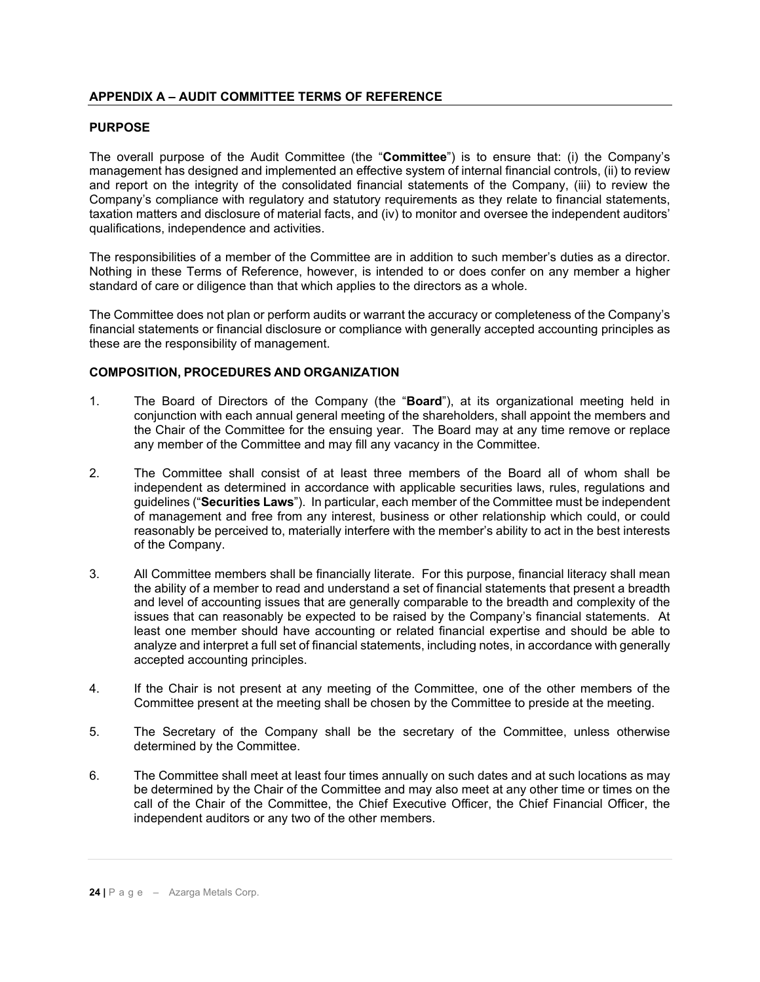# **APPENDIX A – AUDIT COMMITTEE TERMS OF REFERENCE**

### **PURPOSE**

The overall purpose of the Audit Committee (the "**Committee**") is to ensure that: (i) the Company's management has designed and implemented an effective system of internal financial controls, (ii) to review and report on the integrity of the consolidated financial statements of the Company, (iii) to review the Company's compliance with regulatory and statutory requirements as they relate to financial statements, taxation matters and disclosure of material facts, and (iv) to monitor and oversee the independent auditors' qualifications, independence and activities.

The responsibilities of a member of the Committee are in addition to such member's duties as a director. Nothing in these Terms of Reference, however, is intended to or does confer on any member a higher standard of care or diligence than that which applies to the directors as a whole.

The Committee does not plan or perform audits or warrant the accuracy or completeness of the Company's financial statements or financial disclosure or compliance with generally accepted accounting principles as these are the responsibility of management.

### **COMPOSITION, PROCEDURES AND ORGANIZATION**

- 1. The Board of Directors of the Company (the "**Board**"), at its organizational meeting held in conjunction with each annual general meeting of the shareholders, shall appoint the members and the Chair of the Committee for the ensuing year. The Board may at any time remove or replace any member of the Committee and may fill any vacancy in the Committee.
- 2. The Committee shall consist of at least three members of the Board all of whom shall be independent as determined in accordance with applicable securities laws, rules, regulations and guidelines ("**Securities Laws**"). In particular, each member of the Committee must be independent of management and free from any interest, business or other relationship which could, or could reasonably be perceived to, materially interfere with the member's ability to act in the best interests of the Company.
- 3. All Committee members shall be financially literate. For this purpose, financial literacy shall mean the ability of a member to read and understand a set of financial statements that present a breadth and level of accounting issues that are generally comparable to the breadth and complexity of the issues that can reasonably be expected to be raised by the Company's financial statements. At least one member should have accounting or related financial expertise and should be able to analyze and interpret a full set of financial statements, including notes, in accordance with generally accepted accounting principles.
- 4. If the Chair is not present at any meeting of the Committee, one of the other members of the Committee present at the meeting shall be chosen by the Committee to preside at the meeting.
- 5. The Secretary of the Company shall be the secretary of the Committee, unless otherwise determined by the Committee.
- 6. The Committee shall meet at least four times annually on such dates and at such locations as may be determined by the Chair of the Committee and may also meet at any other time or times on the call of the Chair of the Committee, the Chief Executive Officer, the Chief Financial Officer, the independent auditors or any two of the other members.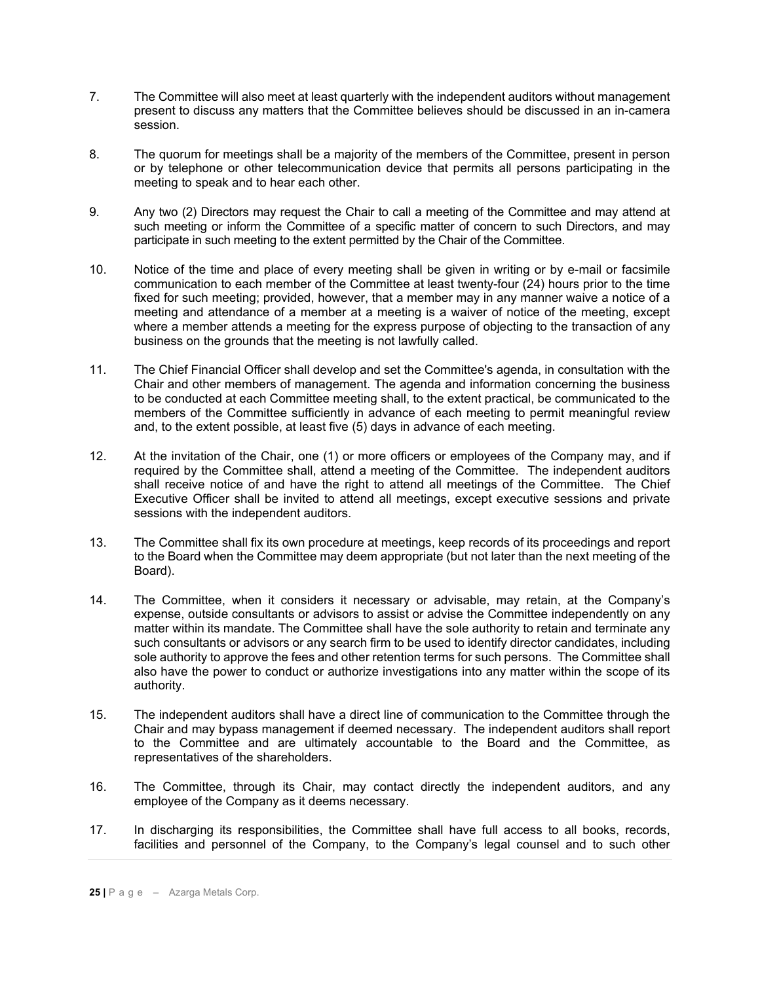- 7. The Committee will also meet at least quarterly with the independent auditors without management present to discuss any matters that the Committee believes should be discussed in an in-camera session.
- 8. The quorum for meetings shall be a majority of the members of the Committee, present in person or by telephone or other telecommunication device that permits all persons participating in the meeting to speak and to hear each other.
- 9. Any two (2) Directors may request the Chair to call a meeting of the Committee and may attend at such meeting or inform the Committee of a specific matter of concern to such Directors, and may participate in such meeting to the extent permitted by the Chair of the Committee.
- 10. Notice of the time and place of every meeting shall be given in writing or by e-mail or facsimile communication to each member of the Committee at least twenty-four (24) hours prior to the time fixed for such meeting; provided, however, that a member may in any manner waive a notice of a meeting and attendance of a member at a meeting is a waiver of notice of the meeting, except where a member attends a meeting for the express purpose of objecting to the transaction of any business on the grounds that the meeting is not lawfully called.
- 11. The Chief Financial Officer shall develop and set the Committee's agenda, in consultation with the Chair and other members of management. The agenda and information concerning the business to be conducted at each Committee meeting shall, to the extent practical, be communicated to the members of the Committee sufficiently in advance of each meeting to permit meaningful review and, to the extent possible, at least five (5) days in advance of each meeting.
- 12. At the invitation of the Chair, one (1) or more officers or employees of the Company may, and if required by the Committee shall, attend a meeting of the Committee. The independent auditors shall receive notice of and have the right to attend all meetings of the Committee. The Chief Executive Officer shall be invited to attend all meetings, except executive sessions and private sessions with the independent auditors.
- 13. The Committee shall fix its own procedure at meetings, keep records of its proceedings and report to the Board when the Committee may deem appropriate (but not later than the next meeting of the Board).
- 14. The Committee, when it considers it necessary or advisable, may retain, at the Company's expense, outside consultants or advisors to assist or advise the Committee independently on any matter within its mandate. The Committee shall have the sole authority to retain and terminate any such consultants or advisors or any search firm to be used to identify director candidates, including sole authority to approve the fees and other retention terms for such persons. The Committee shall also have the power to conduct or authorize investigations into any matter within the scope of its authority.
- 15. The independent auditors shall have a direct line of communication to the Committee through the Chair and may bypass management if deemed necessary. The independent auditors shall report to the Committee and are ultimately accountable to the Board and the Committee, as representatives of the shareholders.
- 16. The Committee, through its Chair, may contact directly the independent auditors, and any employee of the Company as it deems necessary.
- 17. In discharging its responsibilities, the Committee shall have full access to all books, records, facilities and personnel of the Company, to the Company's legal counsel and to such other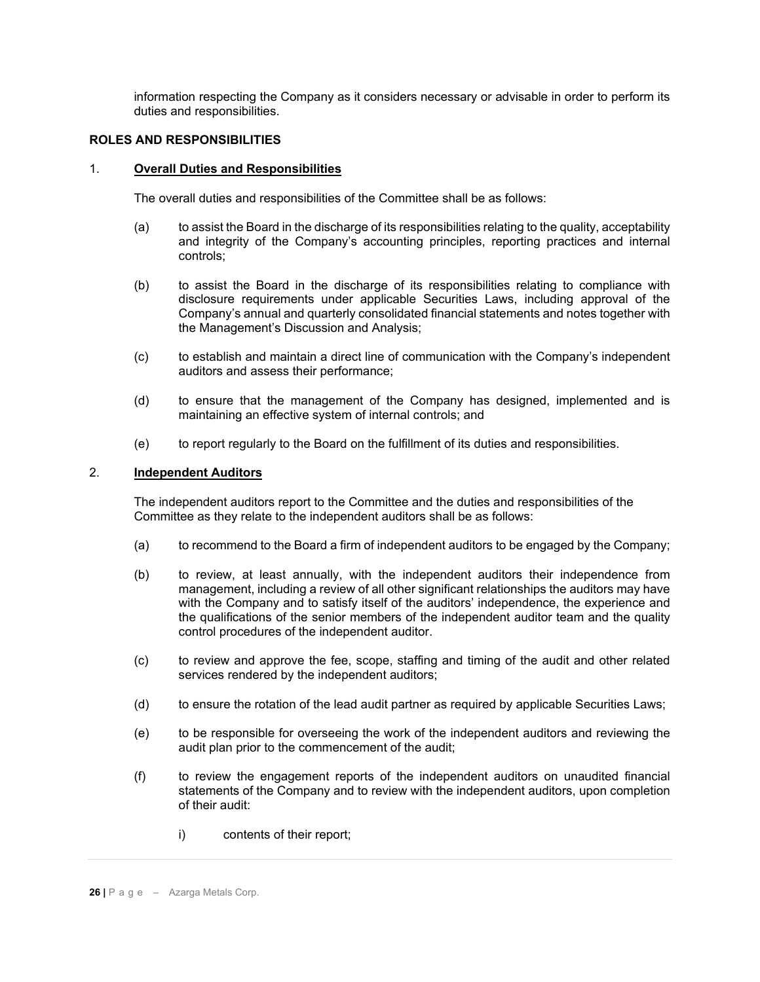information respecting the Company as it considers necessary or advisable in order to perform its duties and responsibilities.

# **ROLES AND RESPONSIBILITIES**

### 1. **Overall Duties and Responsibilities**

The overall duties and responsibilities of the Committee shall be as follows:

- (a) to assist the Board in the discharge of its responsibilities relating to the quality, acceptability and integrity of the Company's accounting principles, reporting practices and internal controls;
- (b) to assist the Board in the discharge of its responsibilities relating to compliance with disclosure requirements under applicable Securities Laws, including approval of the Company's annual and quarterly consolidated financial statements and notes together with the Management's Discussion and Analysis;
- (c) to establish and maintain a direct line of communication with the Company's independent auditors and assess their performance;
- (d) to ensure that the management of the Company has designed, implemented and is maintaining an effective system of internal controls; and
- (e) to report regularly to the Board on the fulfillment of its duties and responsibilities.

### 2. **Independent Auditors**

The independent auditors report to the Committee and the duties and responsibilities of the Committee as they relate to the independent auditors shall be as follows:

- (a) to recommend to the Board a firm of independent auditors to be engaged by the Company;
- (b) to review, at least annually, with the independent auditors their independence from management, including a review of all other significant relationships the auditors may have with the Company and to satisfy itself of the auditors' independence, the experience and the qualifications of the senior members of the independent auditor team and the quality control procedures of the independent auditor.
- (c) to review and approve the fee, scope, staffing and timing of the audit and other related services rendered by the independent auditors;
- (d) to ensure the rotation of the lead audit partner as required by applicable Securities Laws;
- (e) to be responsible for overseeing the work of the independent auditors and reviewing the audit plan prior to the commencement of the audit;
- (f) to review the engagement reports of the independent auditors on unaudited financial statements of the Company and to review with the independent auditors, upon completion of their audit:
	- i) contents of their report;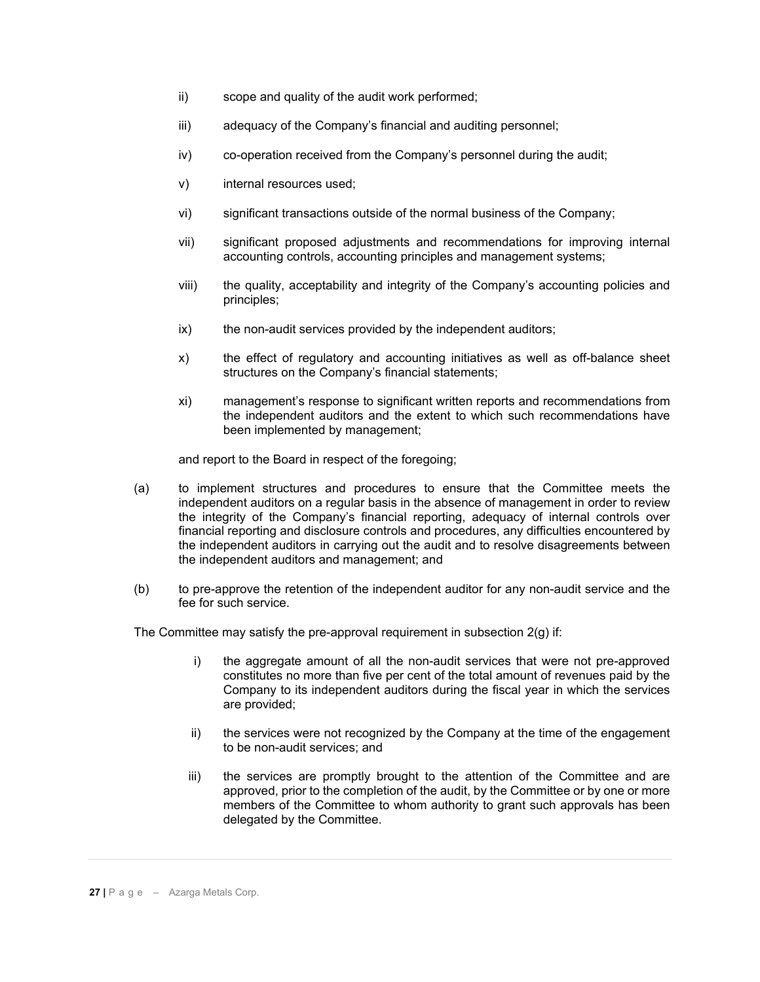- ii) scope and quality of the audit work performed;
- iii) adequacy of the Company's financial and auditing personnel;
- iv) co-operation received from the Company's personnel during the audit;
- v) internal resources used;
- vi) significant transactions outside of the normal business of the Company;
- vii) significant proposed adjustments and recommendations for improving internal accounting controls, accounting principles and management systems;
- viii) the quality, acceptability and integrity of the Company's accounting policies and principles;
- ix) the non-audit services provided by the independent auditors;
- x) the effect of regulatory and accounting initiatives as well as off-balance sheet structures on the Company's financial statements;
- xi) management's response to significant written reports and recommendations from the independent auditors and the extent to which such recommendations have been implemented by management;

and report to the Board in respect of the foregoing;

- (a) to implement structures and procedures to ensure that the Committee meets the independent auditors on a regular basis in the absence of management in order to review the integrity of the Company's financial reporting, adequacy of internal controls over financial reporting and disclosure controls and procedures, any difficulties encountered by the independent auditors in carrying out the audit and to resolve disagreements between the independent auditors and management; and
- (b) to pre-approve the retention of the independent auditor for any non-audit service and the fee for such service.

The Committee may satisfy the pre-approval requirement in subsection 2(g) if:

- i) the aggregate amount of all the non-audit services that were not pre-approved constitutes no more than five per cent of the total amount of revenues paid by the Company to its independent auditors during the fiscal year in which the services are provided;
- ii) the services were not recognized by the Company at the time of the engagement to be non-audit services; and
- iii) the services are promptly brought to the attention of the Committee and are approved, prior to the completion of the audit, by the Committee or by one or more members of the Committee to whom authority to grant such approvals has been delegated by the Committee.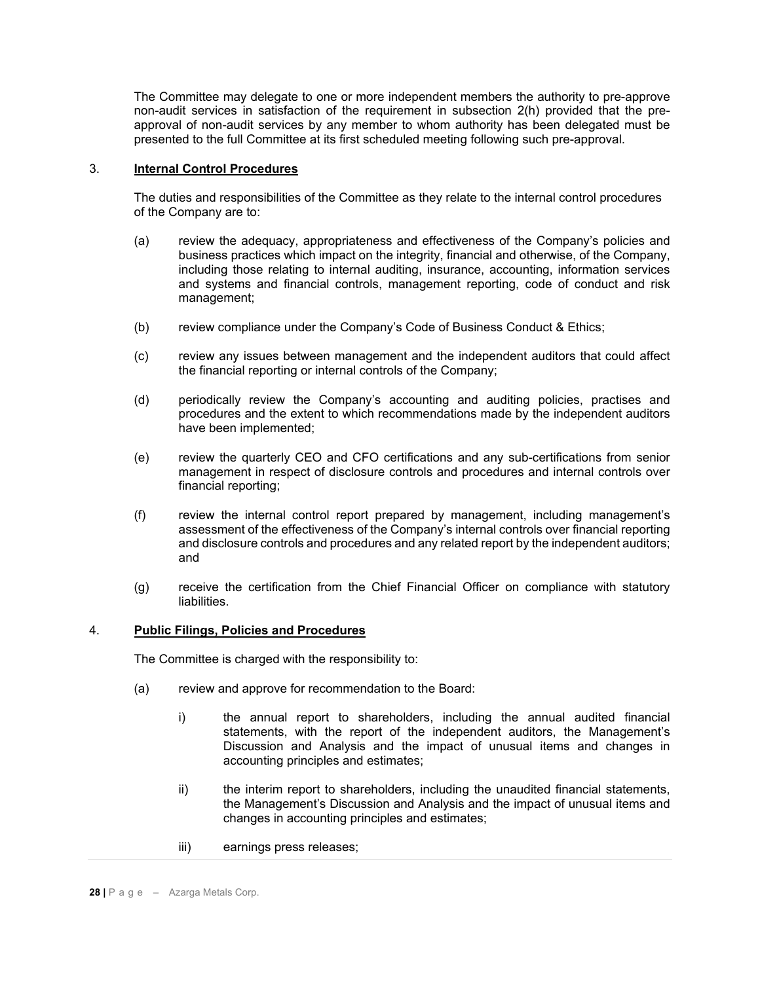The Committee may delegate to one or more independent members the authority to pre-approve non-audit services in satisfaction of the requirement in subsection 2(h) provided that the preapproval of non-audit services by any member to whom authority has been delegated must be presented to the full Committee at its first scheduled meeting following such pre-approval.

# 3. **Internal Control Procedures**

The duties and responsibilities of the Committee as they relate to the internal control procedures of the Company are to:

- (a) review the adequacy, appropriateness and effectiveness of the Company's policies and business practices which impact on the integrity, financial and otherwise, of the Company, including those relating to internal auditing, insurance, accounting, information services and systems and financial controls, management reporting, code of conduct and risk management;
- (b) review compliance under the Company's Code of Business Conduct & Ethics;
- (c) review any issues between management and the independent auditors that could affect the financial reporting or internal controls of the Company;
- (d) periodically review the Company's accounting and auditing policies, practises and procedures and the extent to which recommendations made by the independent auditors have been implemented;
- (e) review the quarterly CEO and CFO certifications and any sub-certifications from senior management in respect of disclosure controls and procedures and internal controls over financial reporting;
- (f) review the internal control report prepared by management, including management's assessment of the effectiveness of the Company's internal controls over financial reporting and disclosure controls and procedures and any related report by the independent auditors; and
- (g) receive the certification from the Chief Financial Officer on compliance with statutory liabilities.

### 4. **Public Filings, Policies and Procedures**

The Committee is charged with the responsibility to:

- (a) review and approve for recommendation to the Board:
	- i) the annual report to shareholders, including the annual audited financial statements, with the report of the independent auditors, the Management's Discussion and Analysis and the impact of unusual items and changes in accounting principles and estimates;
	- ii) the interim report to shareholders, including the unaudited financial statements, the Management's Discussion and Analysis and the impact of unusual items and changes in accounting principles and estimates;
	- iii) earnings press releases;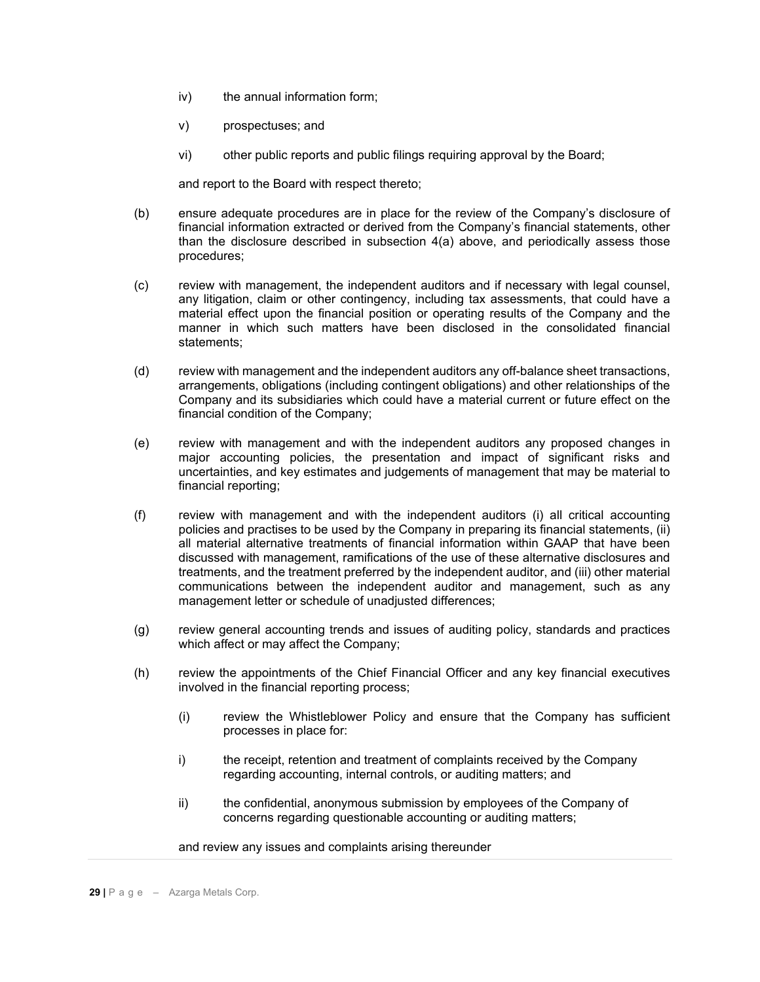- iv) the annual information form;
- v) prospectuses; and
- vi) other public reports and public filings requiring approval by the Board;

and report to the Board with respect thereto;

- (b) ensure adequate procedures are in place for the review of the Company's disclosure of financial information extracted or derived from the Company's financial statements, other than the disclosure described in subsection 4(a) above, and periodically assess those procedures;
- (c) review with management, the independent auditors and if necessary with legal counsel, any litigation, claim or other contingency, including tax assessments, that could have a material effect upon the financial position or operating results of the Company and the manner in which such matters have been disclosed in the consolidated financial statements;
- (d) review with management and the independent auditors any off-balance sheet transactions, arrangements, obligations (including contingent obligations) and other relationships of the Company and its subsidiaries which could have a material current or future effect on the financial condition of the Company;
- (e) review with management and with the independent auditors any proposed changes in major accounting policies, the presentation and impact of significant risks and uncertainties, and key estimates and judgements of management that may be material to financial reporting;
- (f) review with management and with the independent auditors (i) all critical accounting policies and practises to be used by the Company in preparing its financial statements, (ii) all material alternative treatments of financial information within GAAP that have been discussed with management, ramifications of the use of these alternative disclosures and treatments, and the treatment preferred by the independent auditor, and (iii) other material communications between the independent auditor and management, such as any management letter or schedule of unadjusted differences;
- (g) review general accounting trends and issues of auditing policy, standards and practices which affect or may affect the Company;
- (h) review the appointments of the Chief Financial Officer and any key financial executives involved in the financial reporting process;
	- (i) review the Whistleblower Policy and ensure that the Company has sufficient processes in place for:
	- i) the receipt, retention and treatment of complaints received by the Company regarding accounting, internal controls, or auditing matters; and
	- ii) the confidential, anonymous submission by employees of the Company of concerns regarding questionable accounting or auditing matters;

and review any issues and complaints arising thereunder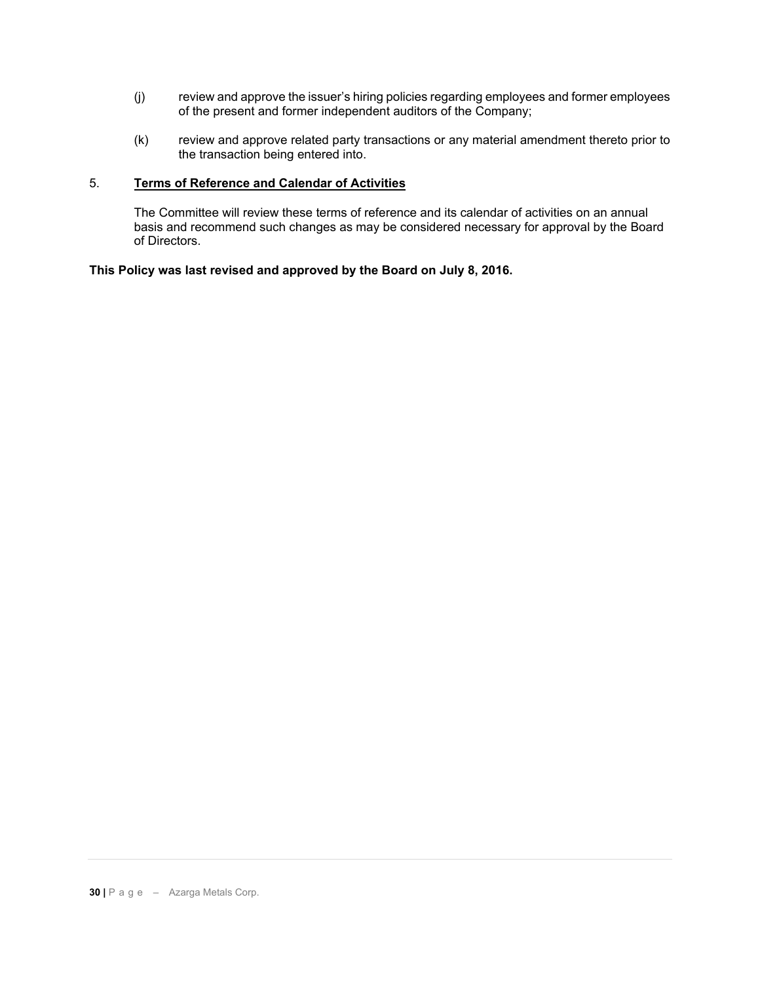- (j) review and approve the issuer's hiring policies regarding employees and former employees of the present and former independent auditors of the Company;
- (k) review and approve related party transactions or any material amendment thereto prior to the transaction being entered into.

# 5. **Terms of Reference and Calendar of Activities**

The Committee will review these terms of reference and its calendar of activities on an annual basis and recommend such changes as may be considered necessary for approval by the Board of Directors.

**This Policy was last revised and approved by the Board on July 8, 2016.**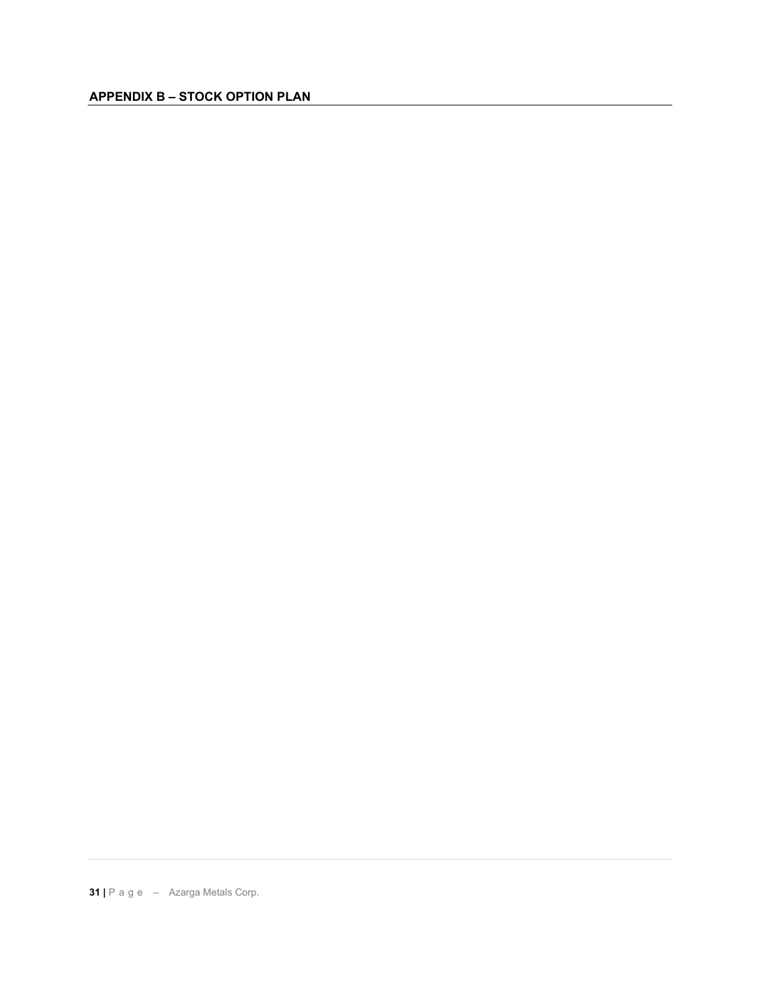# **APPENDIX B – STOCK OPTION PLAN**